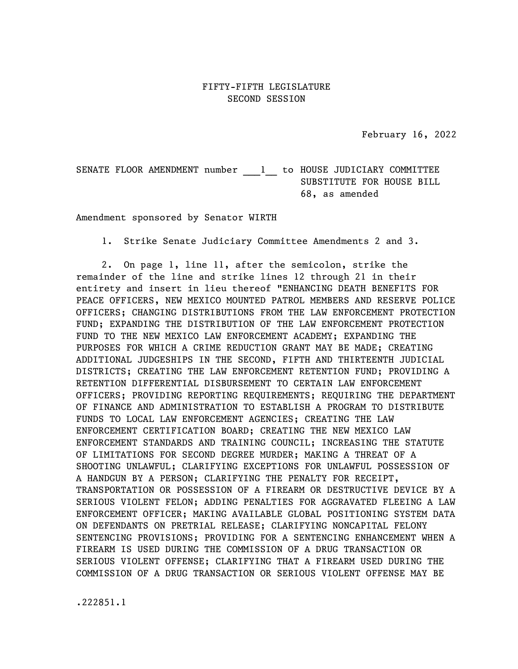February 16, 2022

SENATE FLOOR AMENDMENT number 1 to HOUSE JUDICIARY COMMITTEE SUBSTITUTE FOR HOUSE BILL 68, as amended

Amendment sponsored by Senator WIRTH

1. Strike Senate Judiciary Committee Amendments 2 and 3.

2. On page 1, line 11, after the semicolon, strike the remainder of the line and strike lines 12 through 21 in their entirety and insert in lieu thereof "ENHANCING DEATH BENEFITS FOR PEACE OFFICERS, NEW MEXICO MOUNTED PATROL MEMBERS AND RESERVE POLICE OFFICERS; CHANGING DISTRIBUTIONS FROM THE LAW ENFORCEMENT PROTECTION FUND; EXPANDING THE DISTRIBUTION OF THE LAW ENFORCEMENT PROTECTION FUND TO THE NEW MEXICO LAW ENFORCEMENT ACADEMY; EXPANDING THE PURPOSES FOR WHICH A CRIME REDUCTION GRANT MAY BE MADE; CREATING ADDITIONAL JUDGESHIPS IN THE SECOND, FIFTH AND THIRTEENTH JUDICIAL DISTRICTS; CREATING THE LAW ENFORCEMENT RETENTION FUND; PROVIDING A RETENTION DIFFERENTIAL DISBURSEMENT TO CERTAIN LAW ENFORCEMENT OFFICERS; PROVIDING REPORTING REQUIREMENTS; REQUIRING THE DEPARTMENT OF FINANCE AND ADMINISTRATION TO ESTABLISH A PROGRAM TO DISTRIBUTE FUNDS TO LOCAL LAW ENFORCEMENT AGENCIES; CREATING THE LAW ENFORCEMENT CERTIFICATION BOARD; CREATING THE NEW MEXICO LAW ENFORCEMENT STANDARDS AND TRAINING COUNCIL; INCREASING THE STATUTE OF LIMITATIONS FOR SECOND DEGREE MURDER; MAKING A THREAT OF A SHOOTING UNLAWFUL; CLARIFYING EXCEPTIONS FOR UNLAWFUL POSSESSION OF A HANDGUN BY A PERSON; CLARIFYING THE PENALTY FOR RECEIPT, TRANSPORTATION OR POSSESSION OF A FIREARM OR DESTRUCTIVE DEVICE BY A SERIOUS VIOLENT FELON; ADDING PENALTIES FOR AGGRAVATED FLEEING A LAW ENFORCEMENT OFFICER; MAKING AVAILABLE GLOBAL POSITIONING SYSTEM DATA ON DEFENDANTS ON PRETRIAL RELEASE; CLARIFYING NONCAPITAL FELONY SENTENCING PROVISIONS; PROVIDING FOR A SENTENCING ENHANCEMENT WHEN A FIREARM IS USED DURING THE COMMISSION OF A DRUG TRANSACTION OR SERIOUS VIOLENT OFFENSE; CLARIFYING THAT A FIREARM USED DURING THE COMMISSION OF A DRUG TRANSACTION OR SERIOUS VIOLENT OFFENSE MAY BE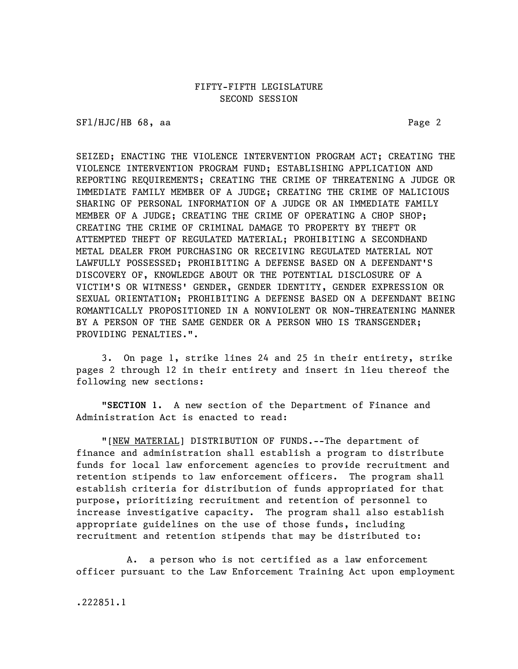SFl/HJC/HB 68, aa Page 2

SEIZED; ENACTING THE VIOLENCE INTERVENTION PROGRAM ACT; CREATING THE VIOLENCE INTERVENTION PROGRAM FUND; ESTABLISHING APPLICATION AND REPORTING REQUIREMENTS; CREATING THE CRIME OF THREATENING A JUDGE OR IMMEDIATE FAMILY MEMBER OF A JUDGE; CREATING THE CRIME OF MALICIOUS SHARING OF PERSONAL INFORMATION OF A JUDGE OR AN IMMEDIATE FAMILY MEMBER OF A JUDGE; CREATING THE CRIME OF OPERATING A CHOP SHOP; CREATING THE CRIME OF CRIMINAL DAMAGE TO PROPERTY BY THEFT OR ATTEMPTED THEFT OF REGULATED MATERIAL; PROHIBITING A SECONDHAND METAL DEALER FROM PURCHASING OR RECEIVING REGULATED MATERIAL NOT LAWFULLY POSSESSED; PROHIBITING A DEFENSE BASED ON A DEFENDANT'S DISCOVERY OF, KNOWLEDGE ABOUT OR THE POTENTIAL DISCLOSURE OF A VICTIM'S OR WITNESS' GENDER, GENDER IDENTITY, GENDER EXPRESSION OR SEXUAL ORIENTATION; PROHIBITING A DEFENSE BASED ON A DEFENDANT BEING ROMANTICALLY PROPOSITIONED IN A NONVIOLENT OR NON-THREATENING MANNER BY A PERSON OF THE SAME GENDER OR A PERSON WHO IS TRANSGENDER; PROVIDING PENALTIES.".

3. On page 1, strike lines 24 and 25 in their entirety, strike pages 2 through 12 in their entirety and insert in lieu thereof the following new sections:

"SECTION 1. A new section of the Department of Finance and Administration Act is enacted to read:

"[NEW MATERIAL] DISTRIBUTION OF FUNDS.--The department of finance and administration shall establish a program to distribute funds for local law enforcement agencies to provide recruitment and retention stipends to law enforcement officers. The program shall establish criteria for distribution of funds appropriated for that purpose, prioritizing recruitment and retention of personnel to increase investigative capacity. The program shall also establish appropriate guidelines on the use of those funds, including recruitment and retention stipends that may be distributed to:

A. a person who is not certified as a law enforcement officer pursuant to the Law Enforcement Training Act upon employment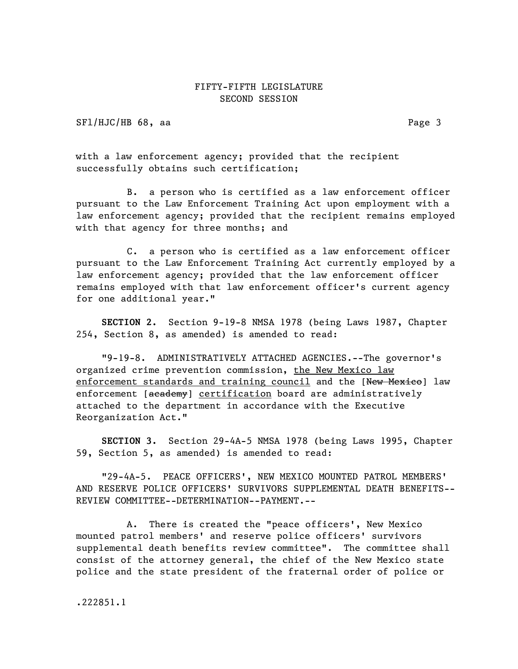SF1/HJC/HB 68, aa Page 3

with a law enforcement agency; provided that the recipient successfully obtains such certification;

B. a person who is certified as a law enforcement officer pursuant to the Law Enforcement Training Act upon employment with a law enforcement agency; provided that the recipient remains employed with that agency for three months; and

C. a person who is certified as a law enforcement officer pursuant to the Law Enforcement Training Act currently employed by a law enforcement agency; provided that the law enforcement officer remains employed with that law enforcement officer's current agency for one additional year."

SECTION 2. Section 9-19-8 NMSA 1978 (being Laws 1987, Chapter 254, Section 8, as amended) is amended to read:

"9-19-8. ADMINISTRATIVELY ATTACHED AGENCIES.--The governor's organized crime prevention commission, the New Mexico law enforcement standards and training council and the [New Mexico] law enforcement [academy] certification board are administratively attached to the department in accordance with the Executive Reorganization Act."

SECTION 3. Section 29-4A-5 NMSA 1978 (being Laws 1995, Chapter 59, Section 5, as amended) is amended to read:

"29-4A-5. PEACE OFFICERS', NEW MEXICO MOUNTED PATROL MEMBERS' AND RESERVE POLICE OFFICERS' SURVIVORS SUPPLEMENTAL DEATH BENEFITS-- REVIEW COMMITTEE--DETERMINATION--PAYMENT.--

A. There is created the "peace officers', New Mexico mounted patrol members' and reserve police officers' survivors supplemental death benefits review committee". The committee shall consist of the attorney general, the chief of the New Mexico state police and the state president of the fraternal order of police or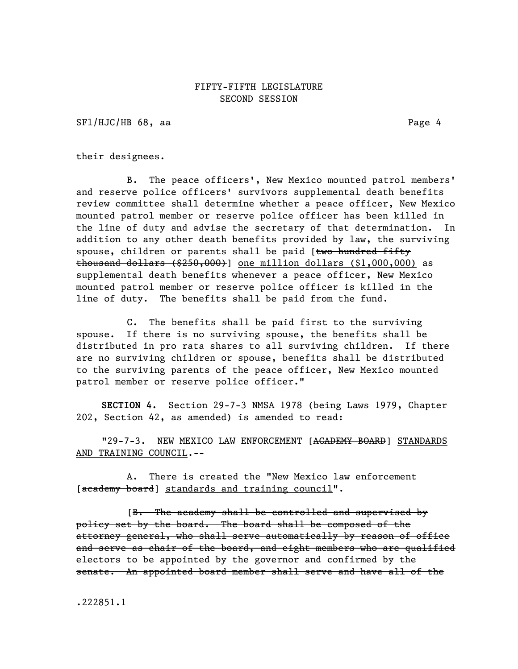SFl/HJC/HB 68, aa Page 4

their designees.

B. The peace officers', New Mexico mounted patrol members' and reserve police officers' survivors supplemental death benefits review committee shall determine whether a peace officer, New Mexico mounted patrol member or reserve police officer has been killed in the line of duty and advise the secretary of that determination. In addition to any other death benefits provided by law, the surviving spouse, children or parents shall be paid [two hundred fifty thousand dollars (\$250,000)] one million dollars (\$1,000,000) as supplemental death benefits whenever a peace officer, New Mexico mounted patrol member or reserve police officer is killed in the line of duty. The benefits shall be paid from the fund.

C. The benefits shall be paid first to the surviving spouse. If there is no surviving spouse, the benefits shall be distributed in pro rata shares to all surviving children. If there are no surviving children or spouse, benefits shall be distributed to the surviving parents of the peace officer, New Mexico mounted patrol member or reserve police officer."

SECTION 4. Section 29-7-3 NMSA 1978 (being Laws 1979, Chapter 202, Section 42, as amended) is amended to read:

"29-7-3. NEW MEXICO LAW ENFORCEMENT [ACADEMY BOARD] STANDARDS AND TRAINING COUNCIL.--

A. There is created the "New Mexico law enforcement [academy board] standards and training council".

[B. The academy shall be controlled and supervised by policy set by the board. The board shall be composed of the attorney general, who shall serve automatically by reason of office and serve as chair of the board, and eight members who are qualified electors to be appointed by the governor and confirmed by the senate. An appointed board member shall serve and have all of the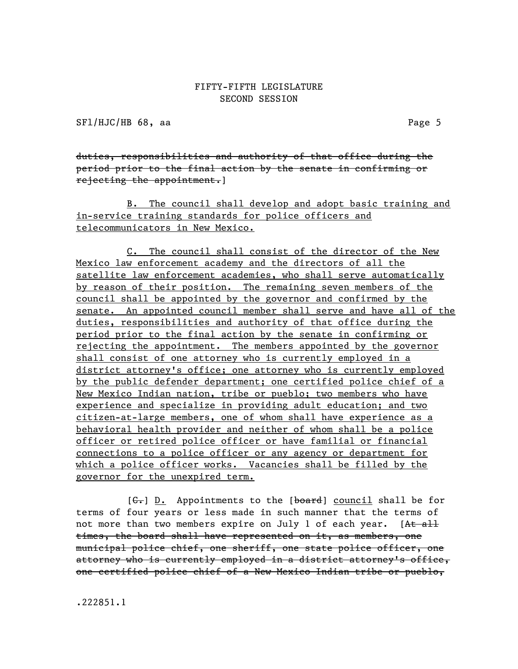SFl/HJC/HB 68, aa Page 5

duties, responsibilities and authority of that office during the period prior to the final action by the senate in confirming or rejecting the appointment.]

B. The council shall develop and adopt basic training and in-service training standards for police officers and telecommunicators in New Mexico.

C. The council shall consist of the director of the New Mexico law enforcement academy and the directors of all the satellite law enforcement academies, who shall serve automatically by reason of their position. The remaining seven members of the council shall be appointed by the governor and confirmed by the senate. An appointed council member shall serve and have all of the duties, responsibilities and authority of that office during the period prior to the final action by the senate in confirming or rejecting the appointment. The members appointed by the governor shall consist of one attorney who is currently employed in a district attorney's office; one attorney who is currently employed by the public defender department; one certified police chief of a New Mexico Indian nation, tribe or pueblo; two members who have experience and specialize in providing adult education; and two citizen-at-large members, one of whom shall have experience as a behavioral health provider and neither of whom shall be a police officer or retired police officer or have familial or financial connections to a police officer or any agency or department for which a police officer works. Vacancies shall be filled by the governor for the unexpired term.

 $[G<sub>r</sub>]$  D. Appointments to the  $[board]$  council shall be for terms of four years or less made in such manner that the terms of not more than two members expire on July 1 of each year. [At all times, the board shall have represented on it, as members, one municipal police chief, one sheriff, one state police officer, one attorney who is currently employed in a district attorney's office, one certified police chief of a New Mexico Indian tribe or pueblo,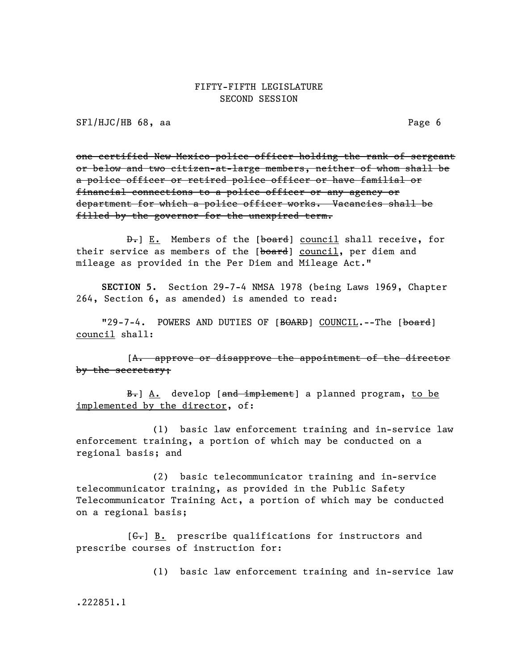SFl/HJC/HB 68, aa Page 6

one certified New Mexico police officer holding the rank of sergeant or below and two citizen-at-large members, neither of whom shall be a police officer or retired police officer or have familial or financial connections to a police officer or any agency or department for which a police officer works. Vacancies shall be filled by the governor for the unexpired term.

D. E. Members of the [board] council shall receive, for their service as members of the [board] council, per diem and mileage as provided in the Per Diem and Mileage Act."

SECTION 5. Section 29-7-4 NMSA 1978 (being Laws 1969, Chapter 264, Section 6, as amended) is amended to read:

"29-7-4. POWERS AND DUTIES OF [BOARD] COUNCIL.--The [board] council shall:

[A. approve or disapprove the appointment of the director by the secretary;

B. A. develop [and implement] a planned program, to be implemented by the director, of:

(1) basic law enforcement training and in-service law enforcement training, a portion of which may be conducted on a regional basis; and

(2) basic telecommunicator training and in-service telecommunicator training, as provided in the Public Safety Telecommunicator Training Act, a portion of which may be conducted on a regional basis;

 $[G_r]$  B. prescribe qualifications for instructors and prescribe courses of instruction for:

(1) basic law enforcement training and in-service law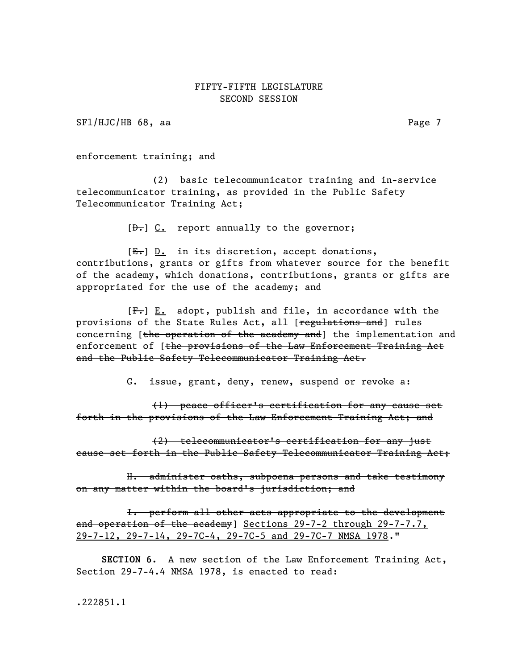SFl/HJC/HB 68, aa Page 7

enforcement training; and

(2) basic telecommunicator training and in-service telecommunicator training, as provided in the Public Safety Telecommunicator Training Act;

 $[\theta_{\tau}]$  C. report annually to the governor;

 $[E-]$  D. in its discretion, accept donations, contributions, grants or gifts from whatever source for the benefit of the academy, which donations, contributions, grants or gifts are appropriated for the use of the academy; and

 $[F<sub>1</sub>]$  E. adopt, publish and file, in accordance with the provisions of the State Rules Act, all [regulations and] rules concerning [the operation of the academy and] the implementation and enforcement of [the provisions of the Law Enforcement Training Act and the Public Safety Telecommunicator Training Act.

G. issue, grant, deny, renew, suspend or revoke a:

(1) peace officer's certification for any cause set forth in the provisions of the Law Enforcement Training Act; and

(2) telecommunicator's certification for any just cause set forth in the Public Safety Telecommunicator Training Act;

H. administer oaths, subpoena persons and take testimony on any matter within the board's jurisdiction; and

I. perform all other acts appropriate to the development and operation of the academy] Sections 29-7-2 through 29-7-7.7, 29-7-12, 29-7-14, 29-7C-4, 29-7C-5 and 29-7C-7 NMSA 1978."

SECTION 6. A new section of the Law Enforcement Training Act, Section 29-7-4.4 NMSA 1978, is enacted to read: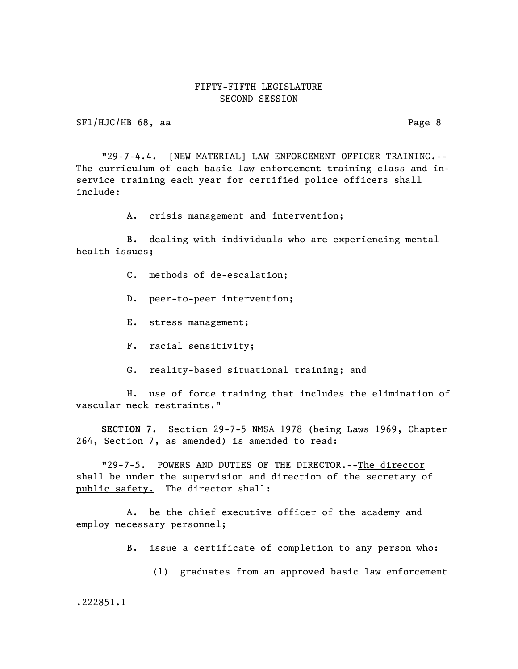SF1/HJC/HB 68, aa Page 8

"29-7-4.4. [NEW MATERIAL] LAW ENFORCEMENT OFFICER TRAINING.--The curriculum of each basic law enforcement training class and inservice training each year for certified police officers shall include:

A. crisis management and intervention;

B. dealing with individuals who are experiencing mental health issues;

- C. methods of de-escalation;
- D. peer-to-peer intervention;
- E. stress management;
- F. racial sensitivity;
- G. reality-based situational training; and

H. use of force training that includes the elimination of vascular neck restraints."

SECTION 7. Section 29-7-5 NMSA 1978 (being Laws 1969, Chapter 264, Section 7, as amended) is amended to read:

"29-7-5. POWERS AND DUTIES OF THE DIRECTOR.--The director shall be under the supervision and direction of the secretary of public safety. The director shall:

A. be the chief executive officer of the academy and employ necessary personnel;

- B. issue a certificate of completion to any person who:
	- (1) graduates from an approved basic law enforcement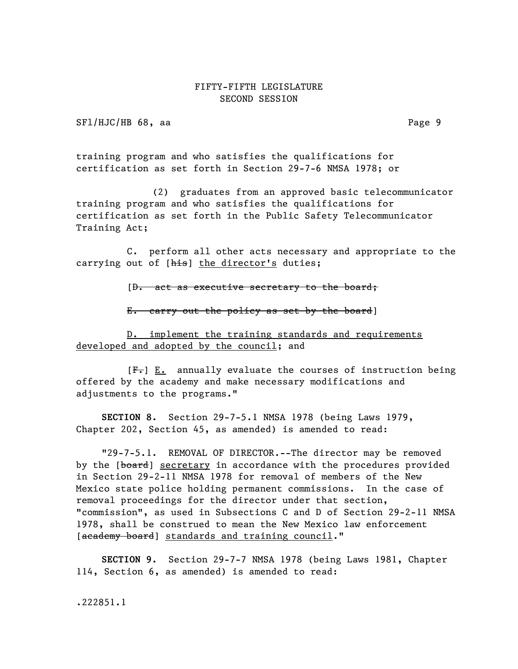SFl/HJC/HB 68, aa Page 9

training program and who satisfies the qualifications for certification as set forth in Section 29-7-6 NMSA 1978; or

(2) graduates from an approved basic telecommunicator training program and who satisfies the qualifications for certification as set forth in the Public Safety Telecommunicator Training Act;

C. perform all other acts necessary and appropriate to the carrying out of [his] the director's duties;

[D. act as executive secretary to the board;

E. carry out the policy as set by the board]

D. implement the training standards and requirements developed and adopted by the council; and

 $[F_r] E_i$  annually evaluate the courses of instruction being offered by the academy and make necessary modifications and adjustments to the programs."

SECTION 8. Section 29-7-5.1 NMSA 1978 (being Laws 1979, Chapter 202, Section 45, as amended) is amended to read:

"29-7-5.1. REMOVAL OF DIRECTOR.--The director may be removed by the [board] secretary in accordance with the procedures provided in Section 29-2-11 NMSA 1978 for removal of members of the New Mexico state police holding permanent commissions. In the case of removal proceedings for the director under that section, "commission", as used in Subsections C and D of Section 29-2-11 NMSA 1978, shall be construed to mean the New Mexico law enforcement [academy board] standards and training council."

SECTION 9. Section 29-7-7 NMSA 1978 (being Laws 1981, Chapter 114, Section 6, as amended) is amended to read: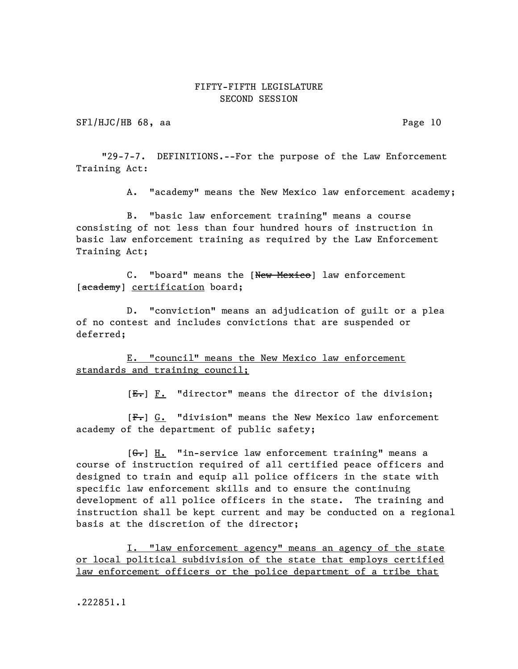SFl/HJC/HB 68, aa Page 10

"29-7-7. DEFINITIONS.--For the purpose of the Law Enforcement Training Act:

A. "academy" means the New Mexico law enforcement academy;

B. "basic law enforcement training" means a course consisting of not less than four hundred hours of instruction in basic law enforcement training as required by the Law Enforcement Training Act;

C. "board" means the [New Mexico] law enforcement [academy] certification board;

D. "conviction" means an adjudication of guilt or a plea of no contest and includes convictions that are suspended or deferred;

E. "council" means the New Mexico law enforcement standards and training council;

 $[E_r]$   $F.$  "director" means the director of the division;

[F.] G. "division" means the New Mexico law enforcement academy of the department of public safety;

 $[G<sub>r</sub>]$  H. "in-service law enforcement training" means a course of instruction required of all certified peace officers and designed to train and equip all police officers in the state with specific law enforcement skills and to ensure the continuing development of all police officers in the state. The training and instruction shall be kept current and may be conducted on a regional basis at the discretion of the director;

I. "law enforcement agency" means an agency of the state or local political subdivision of the state that employs certified law enforcement officers or the police department of a tribe that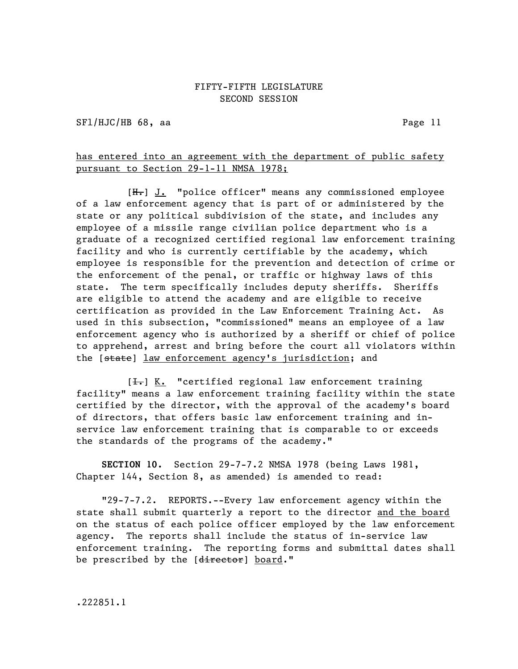SFl/HJC/HB 68, aa Page 11

## has entered into an agreement with the department of public safety pursuant to Section 29-1-11 NMSA 1978;

[H.] J. "police officer" means any commissioned employee of a law enforcement agency that is part of or administered by the state or any political subdivision of the state, and includes any employee of a missile range civilian police department who is a graduate of a recognized certified regional law enforcement training facility and who is currently certifiable by the academy, which employee is responsible for the prevention and detection of crime or the enforcement of the penal, or traffic or highway laws of this state. The term specifically includes deputy sheriffs. Sheriffs are eligible to attend the academy and are eligible to receive certification as provided in the Law Enforcement Training Act. As used in this subsection, "commissioned" means an employee of a law enforcement agency who is authorized by a sheriff or chief of police to apprehend, arrest and bring before the court all violators within the [state] law enforcement agency's jurisdiction; and

 $[\frac{1}{1}]$  K. "certified regional law enforcement training facility" means a law enforcement training facility within the state certified by the director, with the approval of the academy's board of directors, that offers basic law enforcement training and inservice law enforcement training that is comparable to or exceeds the standards of the programs of the academy."

SECTION 10. Section 29-7-7.2 NMSA 1978 (being Laws 1981, Chapter 144, Section 8, as amended) is amended to read:

"29-7-7.2. REPORTS.--Every law enforcement agency within the state shall submit quarterly a report to the director and the board on the status of each police officer employed by the law enforcement agency. The reports shall include the status of in-service law enforcement training. The reporting forms and submittal dates shall be prescribed by the [director] board."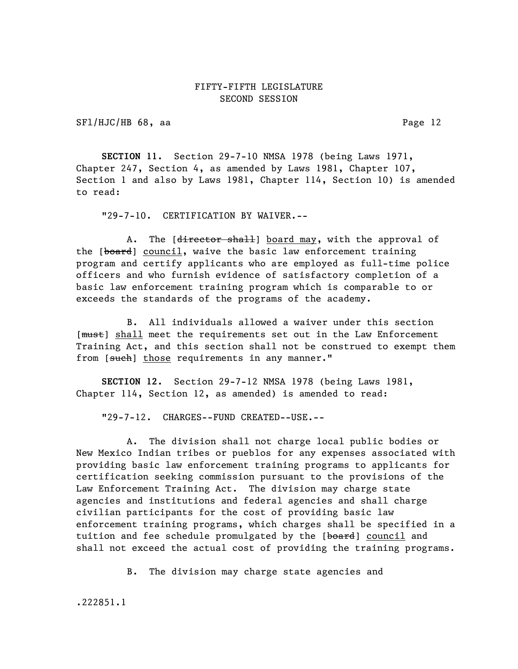SFl/HJC/HB 68, aa Page 12

SECTION 11. Section 29-7-10 NMSA 1978 (being Laws 1971, Chapter 247, Section 4, as amended by Laws 1981, Chapter 107, Section 1 and also by Laws 1981, Chapter 114, Section 10) is amended to read:

"29-7-10. CERTIFICATION BY WAIVER.--

A. The [director shall] board may, with the approval of the [board] council, waive the basic law enforcement training program and certify applicants who are employed as full-time police officers and who furnish evidence of satisfactory completion of a basic law enforcement training program which is comparable to or exceeds the standards of the programs of the academy.

B. All individuals allowed a waiver under this section [ $mu$ st] shall meet the requirements set out in the Law Enforcement Training Act, and this section shall not be construed to exempt them from [such] those requirements in any manner."

SECTION 12. Section 29-7-12 NMSA 1978 (being Laws 1981, Chapter 114, Section 12, as amended) is amended to read:

"29-7-12. CHARGES--FUND CREATED--USE.--

A. The division shall not charge local public bodies or New Mexico Indian tribes or pueblos for any expenses associated with providing basic law enforcement training programs to applicants for certification seeking commission pursuant to the provisions of the Law Enforcement Training Act. The division may charge state agencies and institutions and federal agencies and shall charge civilian participants for the cost of providing basic law enforcement training programs, which charges shall be specified in a tuition and fee schedule promulgated by the [board] council and shall not exceed the actual cost of providing the training programs.

B. The division may charge state agencies and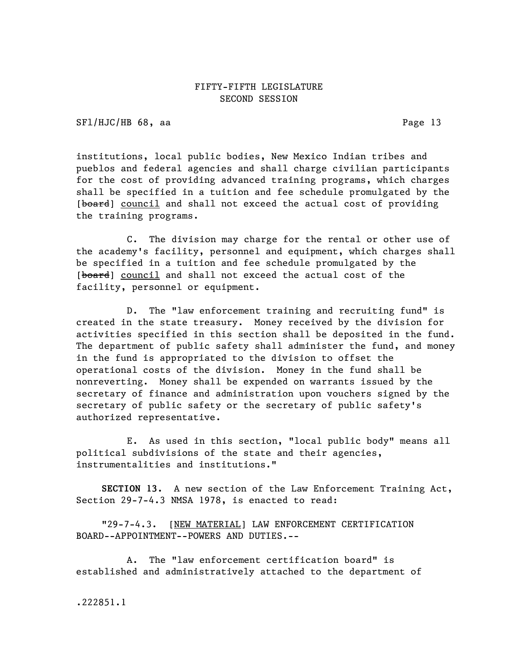SFl/HJC/HB 68, aa Page 13

institutions, local public bodies, New Mexico Indian tribes and pueblos and federal agencies and shall charge civilian participants for the cost of providing advanced training programs, which charges shall be specified in a tuition and fee schedule promulgated by the [board] council and shall not exceed the actual cost of providing the training programs.

C. The division may charge for the rental or other use of the academy's facility, personnel and equipment, which charges shall be specified in a tuition and fee schedule promulgated by the [board] council and shall not exceed the actual cost of the facility, personnel or equipment.

D. The "law enforcement training and recruiting fund" is created in the state treasury. Money received by the division for activities specified in this section shall be deposited in the fund. The department of public safety shall administer the fund, and money in the fund is appropriated to the division to offset the operational costs of the division. Money in the fund shall be nonreverting. Money shall be expended on warrants issued by the secretary of finance and administration upon vouchers signed by the secretary of public safety or the secretary of public safety's authorized representative.

E. As used in this section, "local public body" means all political subdivisions of the state and their agencies, instrumentalities and institutions."

SECTION 13. A new section of the Law Enforcement Training Act, Section 29-7-4.3 NMSA 1978, is enacted to read:

"29-7-4.3. [NEW MATERIAL] LAW ENFORCEMENT CERTIFICATION BOARD--APPOINTMENT--POWERS AND DUTIES.--

A. The "law enforcement certification board" is established and administratively attached to the department of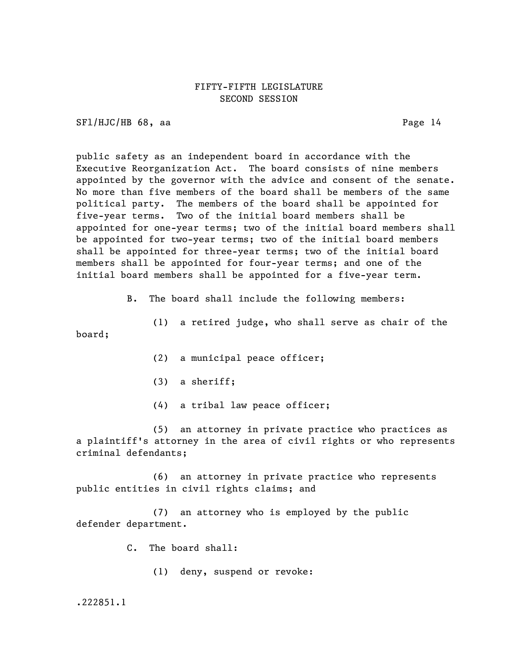SFl/HJC/HB 68, aa Page 14

public safety as an independent board in accordance with the Executive Reorganization Act. The board consists of nine members appointed by the governor with the advice and consent of the senate. No more than five members of the board shall be members of the same political party. The members of the board shall be appointed for five-year terms. Two of the initial board members shall be appointed for one-year terms; two of the initial board members shall be appointed for two-year terms; two of the initial board members shall be appointed for three-year terms; two of the initial board members shall be appointed for four-year terms; and one of the initial board members shall be appointed for a five-year term.

B. The board shall include the following members:

(1) a retired judge, who shall serve as chair of the board;

- (2) a municipal peace officer;
- (3) a sheriff;
- (4) a tribal law peace officer;

(5) an attorney in private practice who practices as a plaintiff's attorney in the area of civil rights or who represents criminal defendants;

(6) an attorney in private practice who represents public entities in civil rights claims; and

(7) an attorney who is employed by the public defender department.

C. The board shall:

(1) deny, suspend or revoke: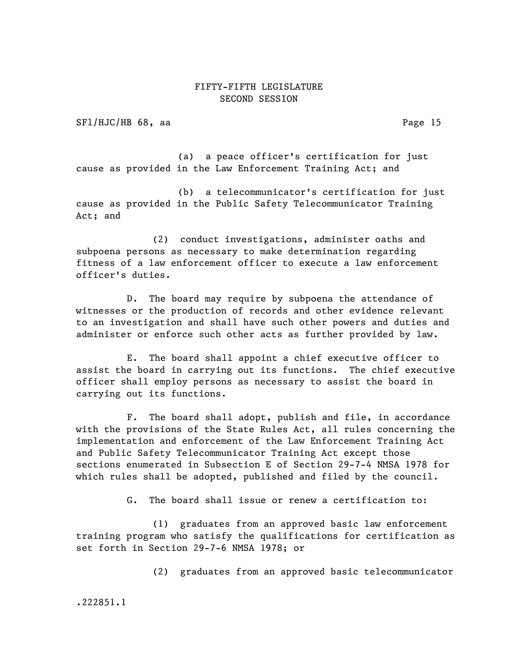SFl/HJC/HB 68, aa Page 15

(a) a peace officer's certification for just cause as provided in the Law Enforcement Training Act; and

(b) a telecommunicator's certification for just cause as provided in the Public Safety Telecommunicator Training Act; and

(2) conduct investigations, administer oaths and subpoena persons as necessary to make determination regarding fitness of a law enforcement officer to execute a law enforcement officer's duties.

D. The board may require by subpoena the attendance of witnesses or the production of records and other evidence relevant to an investigation and shall have such other powers and duties and administer or enforce such other acts as further provided by law.

E. The board shall appoint a chief executive officer to assist the board in carrying out its functions. The chief executive officer shall employ persons as necessary to assist the board in carrying out its functions.

F. The board shall adopt, publish and file, in accordance with the provisions of the State Rules Act, all rules concerning the implementation and enforcement of the Law Enforcement Training Act and Public Safety Telecommunicator Training Act except those sections enumerated in Subsection E of Section 29-7-4 NMSA 1978 for which rules shall be adopted, published and filed by the council.

G. The board shall issue or renew a certification to:

(1) graduates from an approved basic law enforcement training program who satisfy the qualifications for certification as set forth in Section 29-7-6 NMSA 1978; or

(2) graduates from an approved basic telecommunicator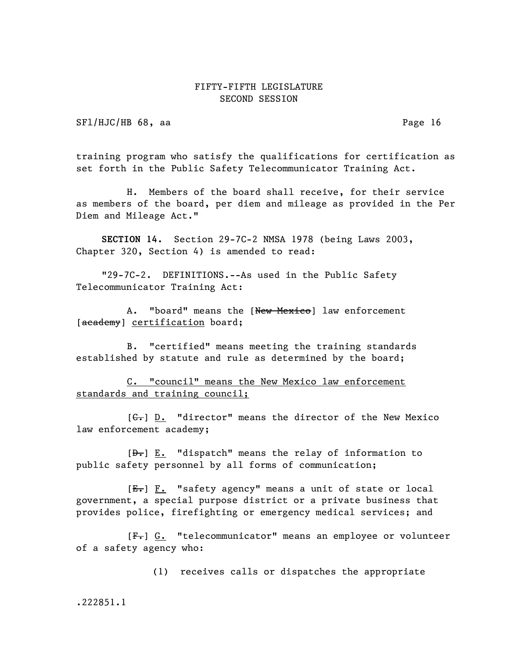SFl/HJC/HB 68, aa Page 16

training program who satisfy the qualifications for certification as set forth in the Public Safety Telecommunicator Training Act.

H. Members of the board shall receive, for their service as members of the board, per diem and mileage as provided in the Per Diem and Mileage Act."

SECTION 14. Section 29-7C-2 NMSA 1978 (being Laws 2003, Chapter 320, Section 4) is amended to read:

"29-7C-2. DEFINITIONS.--As used in the Public Safety Telecommunicator Training Act:

A. "board" means the [New Mexico] law enforcement [academy] certification board;

B. "certified" means meeting the training standards established by statute and rule as determined by the board;

C. "council" means the New Mexico law enforcement standards and training council;

 $[G<sub>r</sub>]$  D. "director" means the director of the New Mexico law enforcement academy;

 $[\frac{D-1}{2}]$  E. "dispatch" means the relay of information to public safety personnel by all forms of communication;

[E.] F. "safety agency" means a unit of state or local government, a special purpose district or a private business that provides police, firefighting or emergency medical services; and

[F.] G. "telecommunicator" means an employee or volunteer of a safety agency who:

(1) receives calls or dispatches the appropriate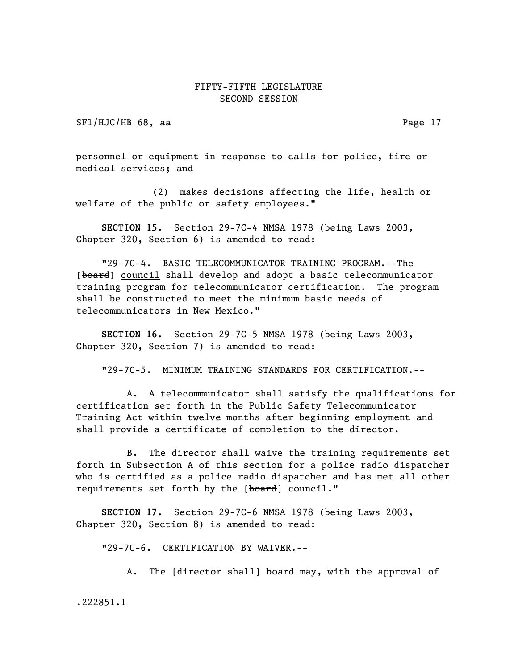SFl/HJC/HB 68, aa Page 17

personnel or equipment in response to calls for police, fire or medical services; and

(2) makes decisions affecting the life, health or welfare of the public or safety employees."

SECTION 15. Section 29-7C-4 NMSA 1978 (being Laws 2003, Chapter 320, Section 6) is amended to read:

"29-7C-4. BASIC TELECOMMUNICATOR TRAINING PROGRAM.--The [board] council shall develop and adopt a basic telecommunicator training program for telecommunicator certification. The program shall be constructed to meet the minimum basic needs of telecommunicators in New Mexico."

SECTION 16. Section 29-7C-5 NMSA 1978 (being Laws 2003, Chapter 320, Section 7) is amended to read:

"29-7C-5. MINIMUM TRAINING STANDARDS FOR CERTIFICATION.--

A. A telecommunicator shall satisfy the qualifications for certification set forth in the Public Safety Telecommunicator Training Act within twelve months after beginning employment and shall provide a certificate of completion to the director.

B. The director shall waive the training requirements set forth in Subsection A of this section for a police radio dispatcher who is certified as a police radio dispatcher and has met all other requirements set forth by the [board] council."

SECTION 17. Section 29-7C-6 NMSA 1978 (being Laws 2003, Chapter 320, Section 8) is amended to read:

"29-7C-6. CERTIFICATION BY WAIVER.--

A. The [director shall] board may, with the approval of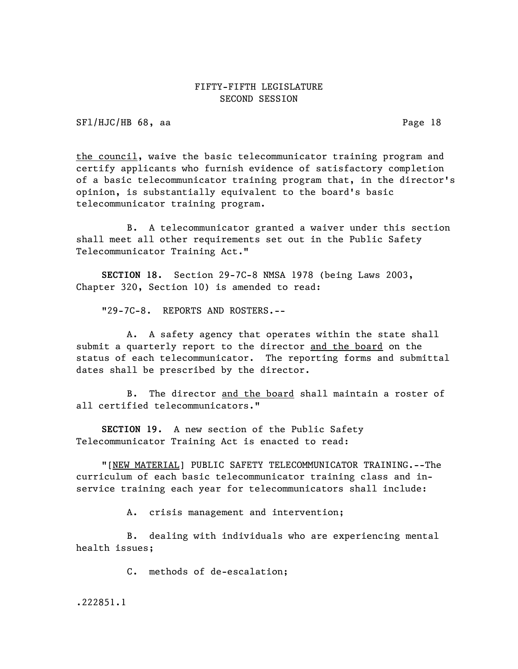SFl/HJC/HB 68, aa Page 18

the council, waive the basic telecommunicator training program and certify applicants who furnish evidence of satisfactory completion of a basic telecommunicator training program that, in the director's opinion, is substantially equivalent to the board's basic telecommunicator training program.

B. A telecommunicator granted a waiver under this section shall meet all other requirements set out in the Public Safety Telecommunicator Training Act."

SECTION 18. Section 29-7C-8 NMSA 1978 (being Laws 2003, Chapter 320, Section 10) is amended to read:

"29-7C-8. REPORTS AND ROSTERS.--

A. A safety agency that operates within the state shall submit a quarterly report to the director and the board on the status of each telecommunicator. The reporting forms and submittal dates shall be prescribed by the director.

B. The director and the board shall maintain a roster of all certified telecommunicators."

SECTION 19. A new section of the Public Safety Telecommunicator Training Act is enacted to read:

"[NEW MATERIAL] PUBLIC SAFETY TELECOMMUNICATOR TRAINING.--The curriculum of each basic telecommunicator training class and inservice training each year for telecommunicators shall include:

A. crisis management and intervention;

B. dealing with individuals who are experiencing mental health issues;

C. methods of de-escalation;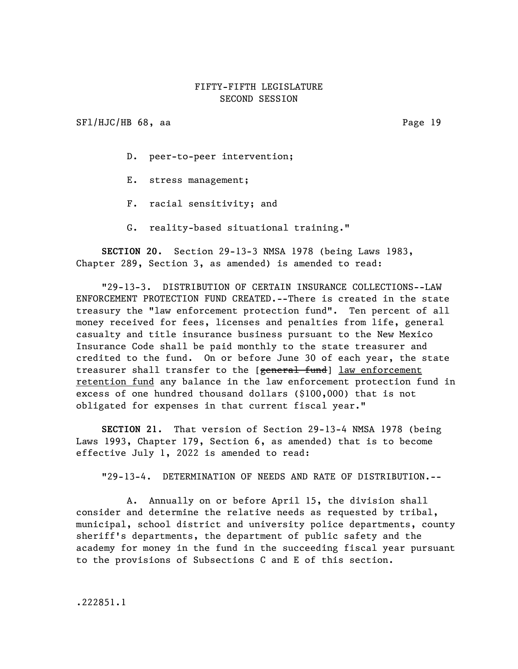SFl/HJC/HB 68, aa Page 19

D. peer-to-peer intervention;

- E. stress management;
- F. racial sensitivity; and
- G. reality-based situational training."

SECTION 20. Section 29-13-3 NMSA 1978 (being Laws 1983, Chapter 289, Section 3, as amended) is amended to read:

"29-13-3. DISTRIBUTION OF CERTAIN INSURANCE COLLECTIONS--LAW ENFORCEMENT PROTECTION FUND CREATED.--There is created in the state treasury the "law enforcement protection fund". Ten percent of all money received for fees, licenses and penalties from life, general casualty and title insurance business pursuant to the New Mexico Insurance Code shall be paid monthly to the state treasurer and credited to the fund. On or before June 30 of each year, the state treasurer shall transfer to the [general fund] law enforcement retention fund any balance in the law enforcement protection fund in excess of one hundred thousand dollars (\$100,000) that is not obligated for expenses in that current fiscal year."

SECTION 21. That version of Section 29-13-4 NMSA 1978 (being Laws 1993, Chapter 179, Section 6, as amended) that is to become effective July 1, 2022 is amended to read:

"29-13-4. DETERMINATION OF NEEDS AND RATE OF DISTRIBUTION.--

A. Annually on or before April 15, the division shall consider and determine the relative needs as requested by tribal, municipal, school district and university police departments, county sheriff's departments, the department of public safety and the academy for money in the fund in the succeeding fiscal year pursuant to the provisions of Subsections C and E of this section.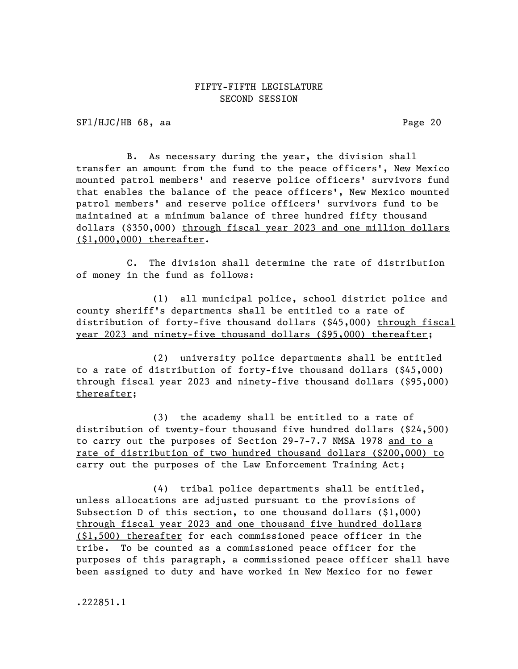SFl/HJC/HB 68, aa Page 20

B. As necessary during the year, the division shall transfer an amount from the fund to the peace officers', New Mexico mounted patrol members' and reserve police officers' survivors fund that enables the balance of the peace officers', New Mexico mounted patrol members' and reserve police officers' survivors fund to be maintained at a minimum balance of three hundred fifty thousand dollars (\$350,000) through fiscal year 2023 and one million dollars (\$1,000,000) thereafter.

C. The division shall determine the rate of distribution of money in the fund as follows:

(1) all municipal police, school district police and county sheriff's departments shall be entitled to a rate of distribution of forty-five thousand dollars (\$45,000) through fiscal year 2023 and ninety-five thousand dollars (\$95,000) thereafter;

(2) university police departments shall be entitled to a rate of distribution of forty-five thousand dollars (\$45,000) through fiscal year 2023 and ninety-five thousand dollars (\$95,000) thereafter;

(3) the academy shall be entitled to a rate of distribution of twenty-four thousand five hundred dollars (\$24,500) to carry out the purposes of Section 29-7-7.7 NMSA 1978 and to a rate of distribution of two hundred thousand dollars (\$200,000) to carry out the purposes of the Law Enforcement Training Act;

(4) tribal police departments shall be entitled, unless allocations are adjusted pursuant to the provisions of Subsection D of this section, to one thousand dollars (\$1,000) through fiscal year 2023 and one thousand five hundred dollars (\$1,500) thereafter for each commissioned peace officer in the tribe. To be counted as a commissioned peace officer for the purposes of this paragraph, a commissioned peace officer shall have been assigned to duty and have worked in New Mexico for no fewer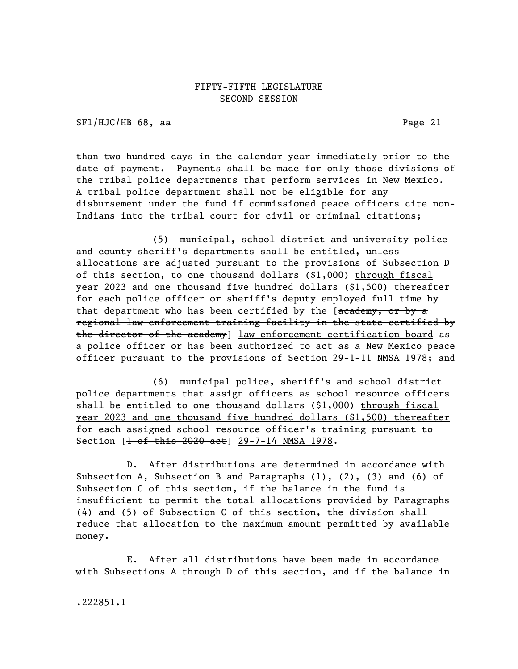SF1/HJC/HB 68, aa Page 21

than two hundred days in the calendar year immediately prior to the date of payment. Payments shall be made for only those divisions of the tribal police departments that perform services in New Mexico. A tribal police department shall not be eligible for any disbursement under the fund if commissioned peace officers cite non-Indians into the tribal court for civil or criminal citations;

(5) municipal, school district and university police and county sheriff's departments shall be entitled, unless allocations are adjusted pursuant to the provisions of Subsection D of this section, to one thousand dollars (\$1,000) through fiscal year 2023 and one thousand five hundred dollars (\$1,500) thereafter for each police officer or sheriff's deputy employed full time by that department who has been certified by the [academy, or by a regional law enforcement training facility in the state certified by the director of the academy] law enforcement certification board as a police officer or has been authorized to act as a New Mexico peace officer pursuant to the provisions of Section 29-1-11 NMSA 1978; and

(6) municipal police, sheriff's and school district police departments that assign officers as school resource officers shall be entitled to one thousand dollars (\$1,000) through fiscal year 2023 and one thousand five hundred dollars (\$1,500) thereafter for each assigned school resource officer's training pursuant to Section [<del>l of this 2020 act</del>] 29-7-14 NMSA 1978.

D. After distributions are determined in accordance with Subsection A, Subsection B and Paragraphs  $(1)$ ,  $(2)$ ,  $(3)$  and  $(6)$  of Subsection C of this section, if the balance in the fund is insufficient to permit the total allocations provided by Paragraphs (4) and (5) of Subsection C of this section, the division shall reduce that allocation to the maximum amount permitted by available money.

E. After all distributions have been made in accordance with Subsections A through D of this section, and if the balance in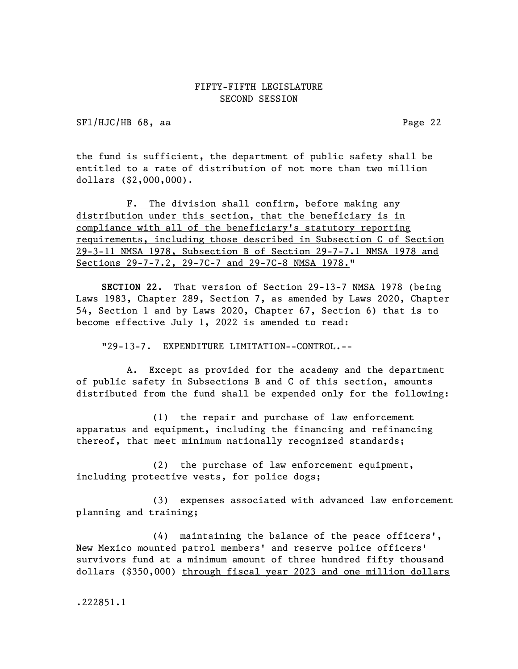SFl/HJC/HB 68, aa Page 22

the fund is sufficient, the department of public safety shall be entitled to a rate of distribution of not more than two million dollars (\$2,000,000).

F. The division shall confirm, before making any distribution under this section, that the beneficiary is in compliance with all of the beneficiary's statutory reporting requirements, including those described in Subsection C of Section 29-3-11 NMSA 1978, Subsection B of Section 29-7-7.1 NMSA 1978 and Sections 29-7-7.2, 29-7C-7 and 29-7C-8 NMSA 1978."

SECTION 22. That version of Section 29-13-7 NMSA 1978 (being Laws 1983, Chapter 289, Section 7, as amended by Laws 2020, Chapter 54, Section 1 and by Laws 2020, Chapter 67, Section 6) that is to become effective July 1, 2022 is amended to read:

"29-13-7. EXPENDITURE LIMITATION--CONTROL.--

A. Except as provided for the academy and the department of public safety in Subsections B and C of this section, amounts distributed from the fund shall be expended only for the following:

(1) the repair and purchase of law enforcement apparatus and equipment, including the financing and refinancing thereof, that meet minimum nationally recognized standards;

(2) the purchase of law enforcement equipment, including protective vests, for police dogs;

(3) expenses associated with advanced law enforcement planning and training;

(4) maintaining the balance of the peace officers', New Mexico mounted patrol members' and reserve police officers' survivors fund at a minimum amount of three hundred fifty thousand dollars (\$350,000) through fiscal year 2023 and one million dollars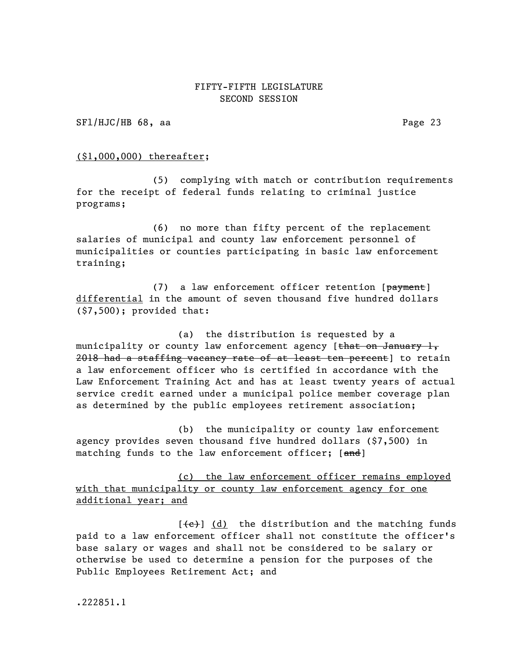SFl/HJC/HB 68, aa Page 23

#### (\$1,000,000) thereafter;

(5) complying with match or contribution requirements for the receipt of federal funds relating to criminal justice programs;

(6) no more than fifty percent of the replacement salaries of municipal and county law enforcement personnel of municipalities or counties participating in basic law enforcement training;

(7) a law enforcement officer retention  $[**payment**]$ differential in the amount of seven thousand five hundred dollars (\$7,500); provided that:

(a) the distribution is requested by a municipality or county law enforcement agency [that on January 1, 2018 had a staffing vacancy rate of at least ten percent] to retain a law enforcement officer who is certified in accordance with the Law Enforcement Training Act and has at least twenty years of actual service credit earned under a municipal police member coverage plan as determined by the public employees retirement association;

(b) the municipality or county law enforcement agency provides seven thousand five hundred dollars (\$7,500) in matching funds to the law enforcement officer; [and]

(c) the law enforcement officer remains employed with that municipality or county law enforcement agency for one additional year; and

 $[\text{e}]$  (d) the distribution and the matching funds paid to a law enforcement officer shall not constitute the officer's base salary or wages and shall not be considered to be salary or otherwise be used to determine a pension for the purposes of the Public Employees Retirement Act; and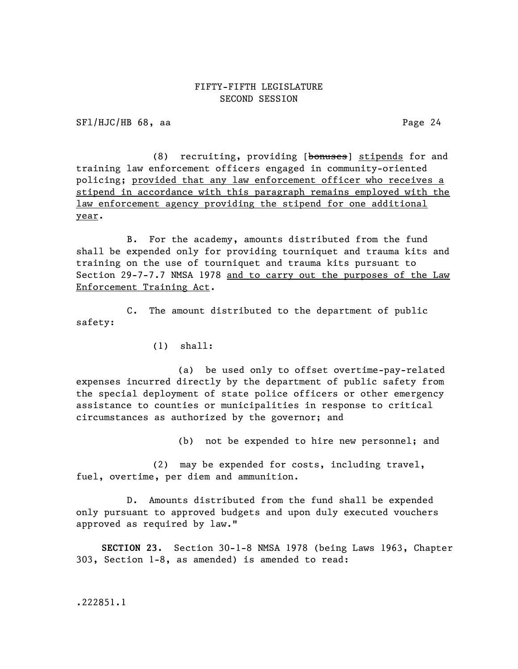SFl/HJC/HB 68, aa Page 24

(8) recruiting, providing [bonuses] stipends for and training law enforcement officers engaged in community-oriented policing; provided that any law enforcement officer who receives a stipend in accordance with this paragraph remains employed with the law enforcement agency providing the stipend for one additional year.

B. For the academy, amounts distributed from the fund shall be expended only for providing tourniquet and trauma kits and training on the use of tourniquet and trauma kits pursuant to Section 29-7-7.7 NMSA 1978 and to carry out the purposes of the Law Enforcement Training Act.

C. The amount distributed to the department of public safety:

(1) shall:

(a) be used only to offset overtime-pay-related expenses incurred directly by the department of public safety from the special deployment of state police officers or other emergency assistance to counties or municipalities in response to critical circumstances as authorized by the governor; and

(b) not be expended to hire new personnel; and

(2) may be expended for costs, including travel, fuel, overtime, per diem and ammunition.

D. Amounts distributed from the fund shall be expended only pursuant to approved budgets and upon duly executed vouchers approved as required by law."

SECTION 23. Section 30-1-8 NMSA 1978 (being Laws 1963, Chapter 303, Section 1-8, as amended) is amended to read: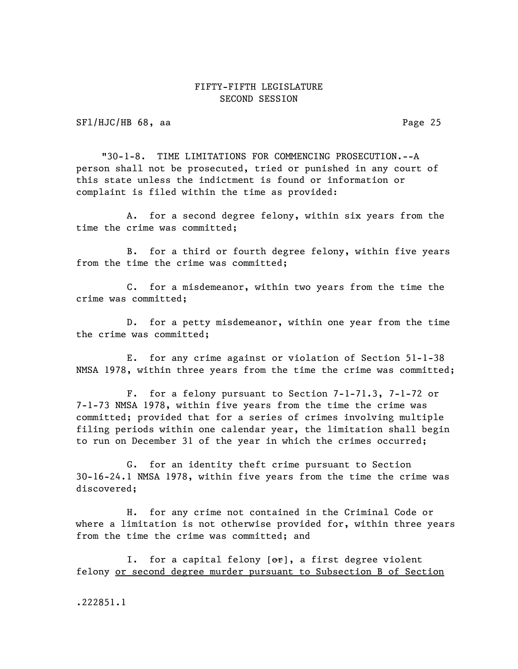SFl/HJC/HB 68, aa Page 25

"30-1-8. TIME LIMITATIONS FOR COMMENCING PROSECUTION.--A person shall not be prosecuted, tried or punished in any court of this state unless the indictment is found or information or complaint is filed within the time as provided:

A. for a second degree felony, within six years from the time the crime was committed;

B. for a third or fourth degree felony, within five years from the time the crime was committed;

C. for a misdemeanor, within two years from the time the crime was committed;

D. for a petty misdemeanor, within one year from the time the crime was committed;

E. for any crime against or violation of Section 51-1-38 NMSA 1978, within three years from the time the crime was committed;

F. for a felony pursuant to Section 7-1-71.3, 7-1-72 or 7-1-73 NMSA 1978, within five years from the time the crime was committed; provided that for a series of crimes involving multiple filing periods within one calendar year, the limitation shall begin to run on December 31 of the year in which the crimes occurred;

G. for an identity theft crime pursuant to Section 30-16-24.1 NMSA 1978, within five years from the time the crime was discovered;

H. for any crime not contained in the Criminal Code or where a limitation is not otherwise provided for, within three years from the time the crime was committed; and

I. for a capital felony  $[\theta^*]$ , a first degree violent felony or second degree murder pursuant to Subsection B of Section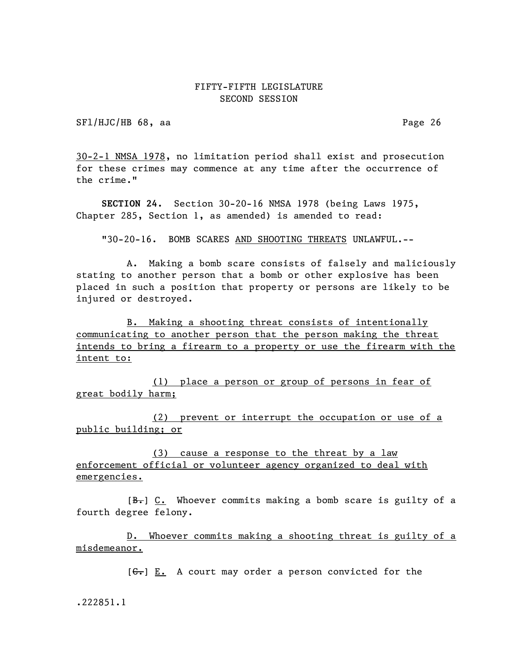SFl/HJC/HB 68, aa Page 26

30-2-1 NMSA 1978, no limitation period shall exist and prosecution for these crimes may commence at any time after the occurrence of the crime."

SECTION 24. Section 30-20-16 NMSA 1978 (being Laws 1975, Chapter 285, Section 1, as amended) is amended to read:

"30-20-16. BOMB SCARES AND SHOOTING THREATS UNLAWFUL.--

A. Making a bomb scare consists of falsely and maliciously stating to another person that a bomb or other explosive has been placed in such a position that property or persons are likely to be injured or destroyed.

B. Making a shooting threat consists of intentionally communicating to another person that the person making the threat intends to bring a firearm to a property or use the firearm with the intent to:

(1) place a person or group of persons in fear of great bodily harm;

(2) prevent or interrupt the occupation or use of a public building; or

(3) cause a response to the threat by a law enforcement official or volunteer agency organized to deal with emergencies.

 $[B<sub>r</sub>]$   $C<sub>r</sub>$  Whoever commits making a bomb scare is guilty of a fourth degree felony.

D. Whoever commits making a shooting threat is guilty of a misdemeanor.

 $[ $\leftarrow$ ]**E.** A court may order a person convinced for the$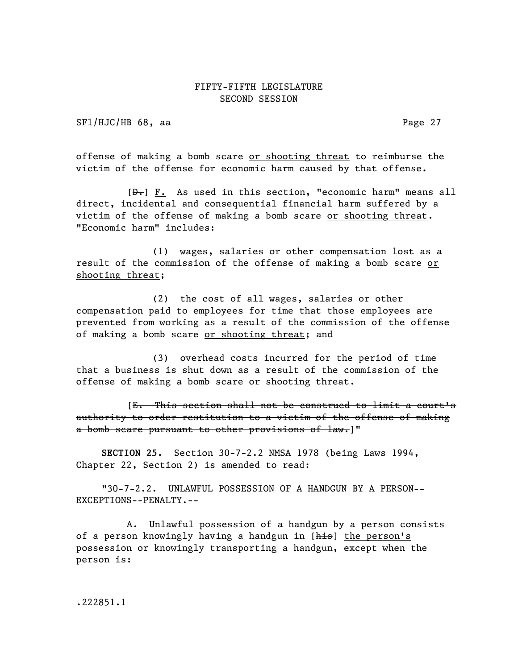SFl/HJC/HB 68, aa Page 27

offense of making a bomb scare or shooting threat to reimburse the victim of the offense for economic harm caused by that offense.

 $[\frac{D-1}{2}]$  F. As used in this section, "economic harm" means all direct, incidental and consequential financial harm suffered by a victim of the offense of making a bomb scare or shooting threat. "Economic harm" includes:

(1) wages, salaries or other compensation lost as a result of the commission of the offense of making a bomb scare or shooting threat;

(2) the cost of all wages, salaries or other compensation paid to employees for time that those employees are prevented from working as a result of the commission of the offense of making a bomb scare or shooting threat; and

(3) overhead costs incurred for the period of time that a business is shut down as a result of the commission of the offense of making a bomb scare or shooting threat.

[E. This section shall not be construed to limit a court's authority to order restitution to a victim of the offense of making a bomb scare pursuant to other provisions of law.]"

SECTION 25. Section 30-7-2.2 NMSA 1978 (being Laws 1994, Chapter 22, Section 2) is amended to read:

"30-7-2.2. UNLAWFUL POSSESSION OF A HANDGUN BY A PERSON-- EXCEPTIONS--PENALTY.--

A. Unlawful possession of a handgun by a person consists of a person knowingly having a handgun in [his] the person's possession or knowingly transporting a handgun, except when the person is: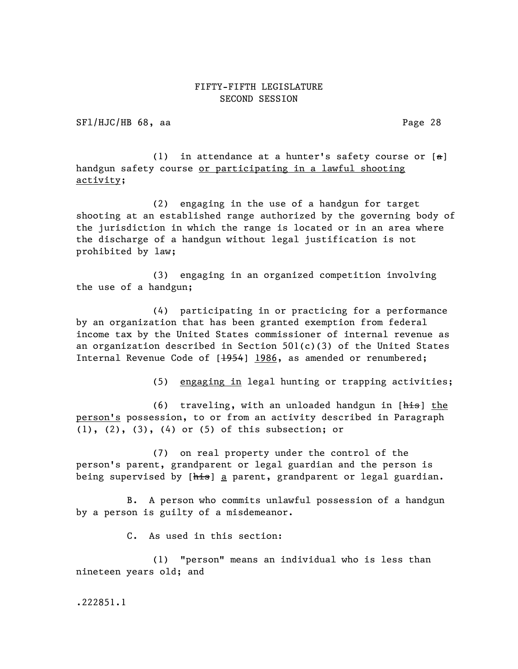SFl/HJC/HB 68, aa Page 28

(1) in attendance at a hunter's safety course or  $[a]$ handgun safety course or participating in a lawful shooting activity;

(2) engaging in the use of a handgun for target shooting at an established range authorized by the governing body of the jurisdiction in which the range is located or in an area where the discharge of a handgun without legal justification is not prohibited by law;

(3) engaging in an organized competition involving the use of a handgun;

(4) participating in or practicing for a performance by an organization that has been granted exemption from federal income tax by the United States commissioner of internal revenue as an organization described in Section  $501(c)(3)$  of the United States Internal Revenue Code of [1954] 1986, as amended or renumbered;

(5) engaging in legal hunting or trapping activities;

(6) traveling, with an unloaded handgun in [his] the person's possession, to or from an activity described in Paragraph (1), (2), (3), (4) or (5) of this subsection; or

(7) on real property under the control of the person's parent, grandparent or legal guardian and the person is being supervised by [his] a parent, grandparent or legal guardian.

B. A person who commits unlawful possession of a handgun by a person is guilty of a misdemeanor.

C. As used in this section:

(1) "person" means an individual who is less than nineteen years old; and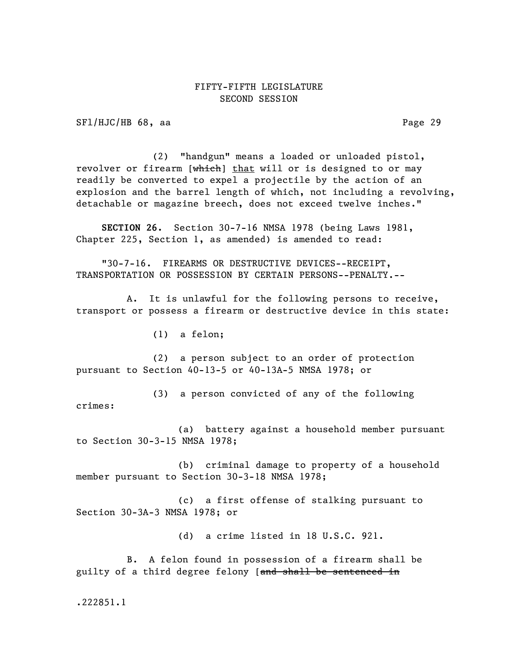SFl/HJC/HB 68, aa Page 29

(2) "handgun" means a loaded or unloaded pistol, revolver or firearm [which] that will or is designed to or may readily be converted to expel a projectile by the action of an explosion and the barrel length of which, not including a revolving, detachable or magazine breech, does not exceed twelve inches."

SECTION 26. Section 30-7-16 NMSA 1978 (being Laws 1981, Chapter 225, Section 1, as amended) is amended to read:

"30-7-16. FIREARMS OR DESTRUCTIVE DEVICES--RECEIPT, TRANSPORTATION OR POSSESSION BY CERTAIN PERSONS--PENALTY.--

A. It is unlawful for the following persons to receive, transport or possess a firearm or destructive device in this state:

(1) a felon;

(2) a person subject to an order of protection pursuant to Section 40-13-5 or 40-13A-5 NMSA 1978; or

(3) a person convicted of any of the following crimes:

(a) battery against a household member pursuant to Section 30-3-15 NMSA 1978;

(b) criminal damage to property of a household member pursuant to Section 30-3-18 NMSA 1978;

(c) a first offense of stalking pursuant to Section 30-3A-3 NMSA 1978; or

(d) a crime listed in 18 U.S.C. 921.

B. A felon found in possession of a firearm shall be guilty of a third degree felony [and shall be sentenced in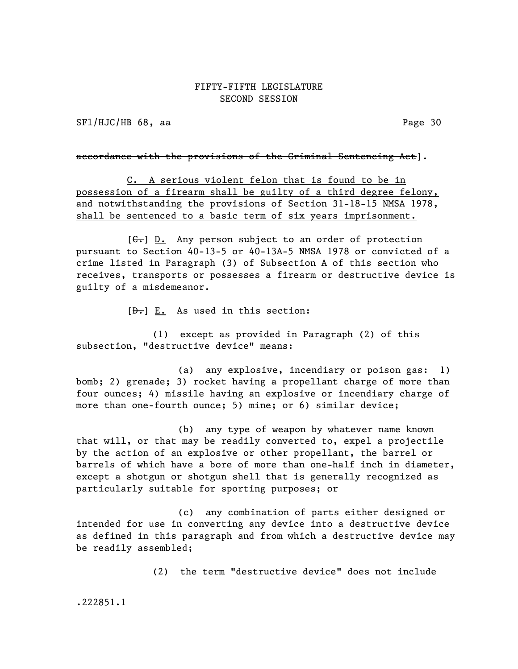SFl/HJC/HB 68, aa Page 30

accordance with the provisions of the Criminal Sentencing Act].

C. A serious violent felon that is found to be in possession of a firearm shall be guilty of a third degree felony, and notwithstanding the provisions of Section 31-18-15 NMSA 1978, shall be sentenced to a basic term of six years imprisonment.

 $[G<sub>r</sub>]$  D. Any person subject to an order of protection pursuant to Section 40-13-5 or 40-13A-5 NMSA 1978 or convicted of a crime listed in Paragraph (3) of Subsection A of this section who receives, transports or possesses a firearm or destructive device is guilty of a misdemeanor.

 $[\frac{D-1}{2}]$  E. As used in this section:

(1) except as provided in Paragraph (2) of this subsection, "destructive device" means:

(a) any explosive, incendiary or poison gas: 1) bomb; 2) grenade; 3) rocket having a propellant charge of more than four ounces; 4) missile having an explosive or incendiary charge of more than one-fourth ounce; 5) mine; or 6) similar device;

(b) any type of weapon by whatever name known that will, or that may be readily converted to, expel a projectile by the action of an explosive or other propellant, the barrel or barrels of which have a bore of more than one-half inch in diameter, except a shotgun or shotgun shell that is generally recognized as particularly suitable for sporting purposes; or

(c) any combination of parts either designed or intended for use in converting any device into a destructive device as defined in this paragraph and from which a destructive device may be readily assembled;

(2) the term "destructive device" does not include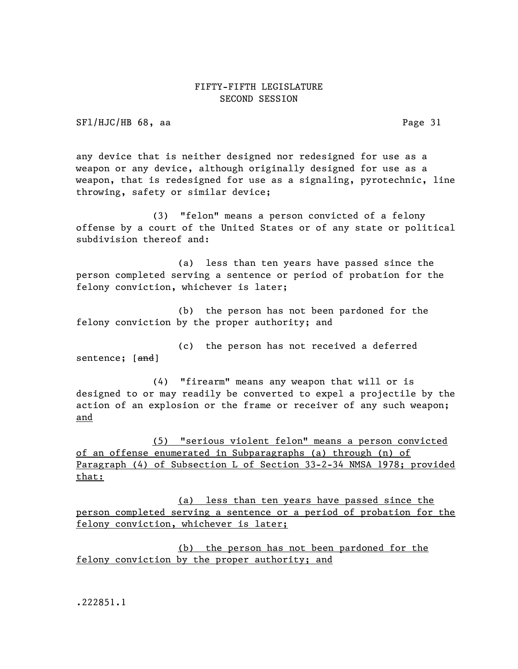SFl/HJC/HB 68, aa Page 31

any device that is neither designed nor redesigned for use as a weapon or any device, although originally designed for use as a weapon, that is redesigned for use as a signaling, pyrotechnic, line throwing, safety or similar device;

(3) "felon" means a person convicted of a felony offense by a court of the United States or of any state or political subdivision thereof and:

(a) less than ten years have passed since the person completed serving a sentence or period of probation for the felony conviction, whichever is later;

(b) the person has not been pardoned for the felony conviction by the proper authority; and

(c) the person has not received a deferred sentence; [<del>and</del>]

(4) "firearm" means any weapon that will or is designed to or may readily be converted to expel a projectile by the action of an explosion or the frame or receiver of any such weapon; and

(5) "serious violent felon" means a person convicted of an offense enumerated in Subparagraphs (a) through (n) of Paragraph (4) of Subsection L of Section 33-2-34 NMSA 1978; provided that:

(a) less than ten years have passed since the person completed serving a sentence or a period of probation for the felony conviction, whichever is later;

(b) the person has not been pardoned for the felony conviction by the proper authority; and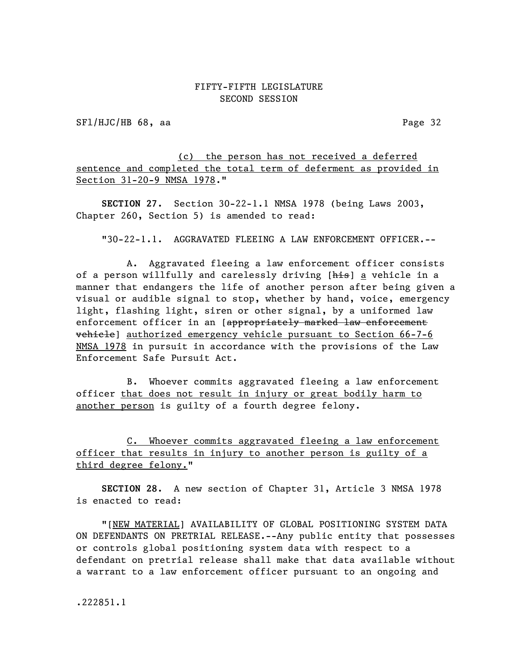SFl/HJC/HB 68, aa Page 32

(c) the person has not received a deferred sentence and completed the total term of deferment as provided in Section 31-20-9 NMSA 1978."

SECTION 27. Section 30-22-1.1 NMSA 1978 (being Laws 2003, Chapter 260, Section 5) is amended to read:

"30-22-1.1. AGGRAVATED FLEEING A LAW ENFORCEMENT OFFICER.--

A. Aggravated fleeing a law enforcement officer consists of a person willfully and carelessly driving [his] a vehicle in a manner that endangers the life of another person after being given a visual or audible signal to stop, whether by hand, voice, emergency light, flashing light, siren or other signal, by a uniformed law enforcement officer in an [appropriately marked law enforcement vehicle] authorized emergency vehicle pursuant to Section 66-7-6 NMSA 1978 in pursuit in accordance with the provisions of the Law Enforcement Safe Pursuit Act.

B. Whoever commits aggravated fleeing a law enforcement officer that does not result in injury or great bodily harm to another person is guilty of a fourth degree felony.

C. Whoever commits aggravated fleeing a law enforcement officer that results in injury to another person is guilty of a third degree felony."

SECTION 28. A new section of Chapter 31, Article 3 NMSA 1978 is enacted to read:

"[NEW MATERIAL] AVAILABILITY OF GLOBAL POSITIONING SYSTEM DATA ON DEFENDANTS ON PRETRIAL RELEASE.--Any public entity that possesses or controls global positioning system data with respect to a defendant on pretrial release shall make that data available without a warrant to a law enforcement officer pursuant to an ongoing and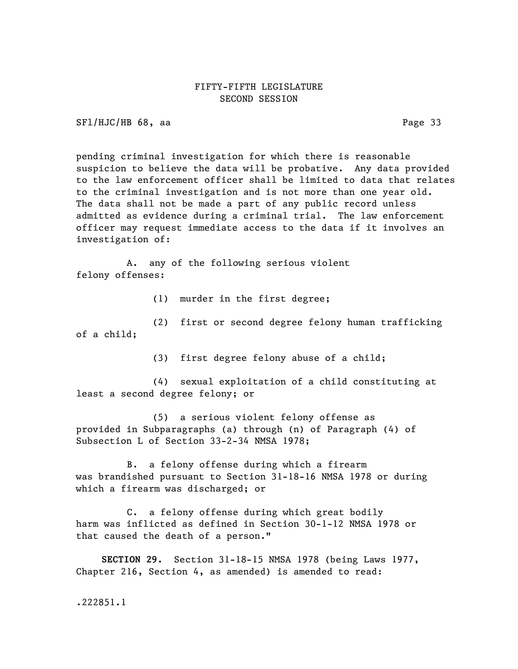SFl/HJC/HB 68, aa Page 33

pending criminal investigation for which there is reasonable suspicion to believe the data will be probative. Any data provided to the law enforcement officer shall be limited to data that relates to the criminal investigation and is not more than one year old. The data shall not be made a part of any public record unless admitted as evidence during a criminal trial. The law enforcement officer may request immediate access to the data if it involves an investigation of:

A. any of the following serious violent felony offenses:

(1) murder in the first degree;

(2) first or second degree felony human trafficking of a child;

(3) first degree felony abuse of a child;

(4) sexual exploitation of a child constituting at least a second degree felony; or

(5) a serious violent felony offense as provided in Subparagraphs (a) through (n) of Paragraph (4) of Subsection L of Section 33-2-34 NMSA 1978;

B. a felony offense during which a firearm was brandished pursuant to Section 31-18-16 NMSA 1978 or during which a firearm was discharged; or

C. a felony offense during which great bodily harm was inflicted as defined in Section 30-1-12 NMSA 1978 or that caused the death of a person."

SECTION 29. Section 31-18-15 NMSA 1978 (being Laws 1977, Chapter 216, Section 4, as amended) is amended to read: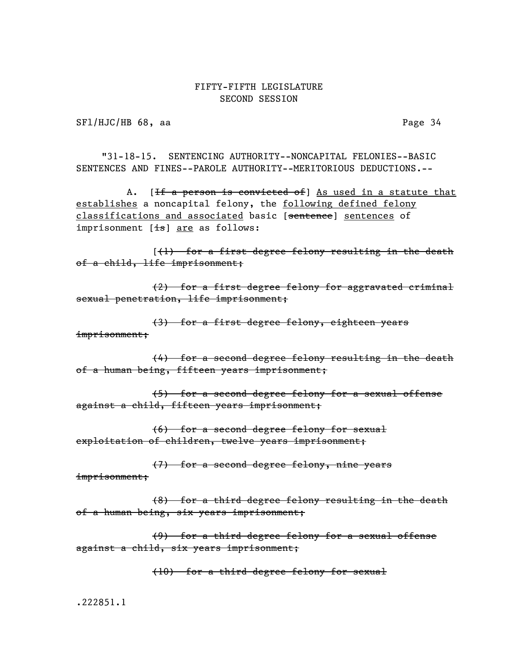SFl/HJC/HB 68, aa Page 34

"31-18-15. SENTENCING AUTHORITY--NONCAPITAL FELONIES--BASIC SENTENCES AND FINES--PAROLE AUTHORITY--MERITORIOUS DEDUCTIONS.--

A. [<del>If a person is convicted of</del>] As used in a statute that establishes a noncapital felony, the following defined felony classifications and associated basic [sentence] sentences of imprisonment  $[i\text{--}s]$  are as follows:

[(1) for a first degree felony resulting in the death of a child, life imprisonment;

(2) for a first degree felony for aggravated criminal sexual penetration, life imprisonment;

(3) for a first degree felony, eighteen years imprisonment;

(4) for a second degree felony resulting in the death of a human being, fifteen years imprisonment;

(5) for a second degree felony for a sexual offense against a child, fifteen years imprisonment;

(6) for a second degree felony for sexual exploitation of children, twelve years imprisonment;

(7) for a second degree felony, nine years

imprisonment;

(8) for a third degree felony resulting in the death of a human being, six years imprisonment;

(9) for a third degree felony for a sexual offense against a child, six years imprisonment;

(10) for a third degree felony for sexual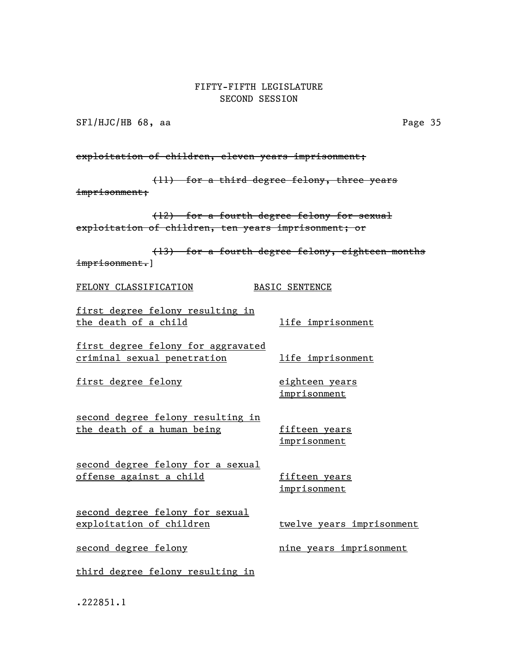SFl/HJC/HB 68, aa Page 35

exploitation of children, eleven years imprisonment;

(11) for a third degree felony, three years imprisonment;

(12) for a fourth degree felony for sexual exploitation of children, ten years imprisonment; or

(13) for a fourth degree felony, eighteen months imprisonment.]

FELONY CLASSIFICATION BASIC SENTENCE

first degree felony resulting in the death of a child and life imprisonment

first degree felony for aggravated criminal sexual penetration and life imprisonment

first degree felony eighteen years

imprisonment

second degree felony resulting in the death of a human being fifteen years

imprisonment

second degree felony for a sexual offense against a child fifteen years

imprisonment

second degree felony for sexual exploitation of children twelve years imprisonment

second degree felony and the vears imprisonment

third degree felony resulting in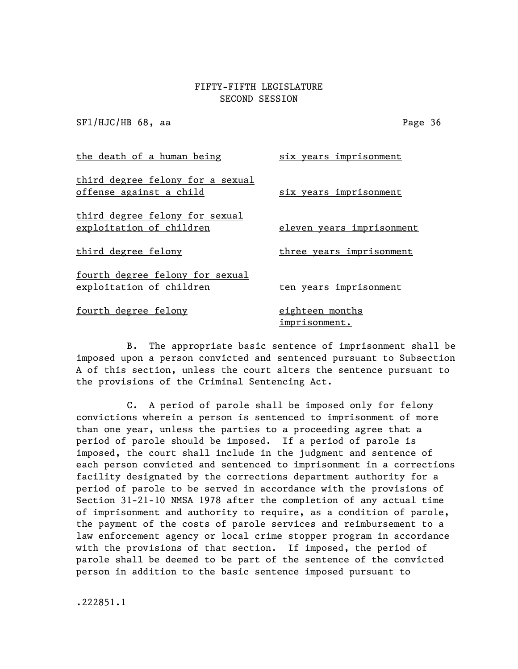SFl/HJC/HB 68, aa Page 36

the death of a human being six years imprisonment third degree felony for a sexual offense against a child six years imprisonment third degree felony for sexual exploitation of children eleven years imprisonment third degree felony three years imprisonment fourth degree felony for sexual exploitation of children ten years imprisonment fourth degree felony eighteen months imprisonment.

B. The appropriate basic sentence of imprisonment shall be imposed upon a person convicted and sentenced pursuant to Subsection A of this section, unless the court alters the sentence pursuant to the provisions of the Criminal Sentencing Act.

C. A period of parole shall be imposed only for felony convictions wherein a person is sentenced to imprisonment of more than one year, unless the parties to a proceeding agree that a period of parole should be imposed. If a period of parole is imposed, the court shall include in the judgment and sentence of each person convicted and sentenced to imprisonment in a corrections facility designated by the corrections department authority for a period of parole to be served in accordance with the provisions of Section 31-21-10 NMSA 1978 after the completion of any actual time of imprisonment and authority to require, as a condition of parole, the payment of the costs of parole services and reimbursement to a law enforcement agency or local crime stopper program in accordance with the provisions of that section. If imposed, the period of parole shall be deemed to be part of the sentence of the convicted person in addition to the basic sentence imposed pursuant to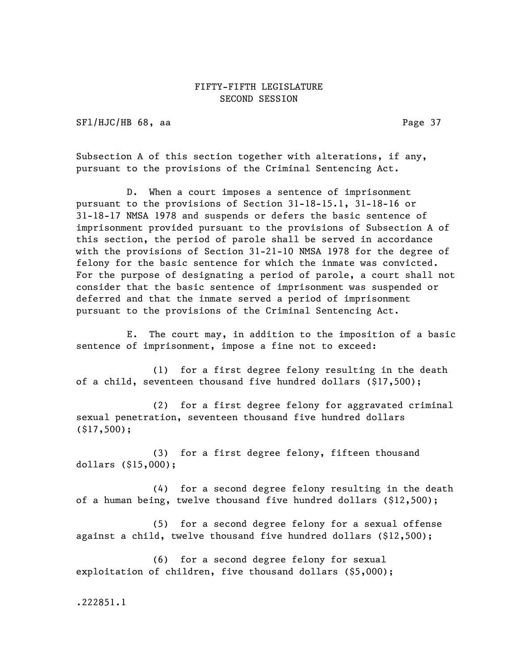SFl/HJC/HB 68, aa Page 37

Subsection A of this section together with alterations, if any, pursuant to the provisions of the Criminal Sentencing Act.

D. When a court imposes a sentence of imprisonment pursuant to the provisions of Section 31-18-15.1, 31-18-16 or 31-18-17 NMSA 1978 and suspends or defers the basic sentence of imprisonment provided pursuant to the provisions of Subsection A of this section, the period of parole shall be served in accordance with the provisions of Section 31-21-10 NMSA 1978 for the degree of felony for the basic sentence for which the inmate was convicted. For the purpose of designating a period of parole, a court shall not consider that the basic sentence of imprisonment was suspended or deferred and that the inmate served a period of imprisonment pursuant to the provisions of the Criminal Sentencing Act.

E. The court may, in addition to the imposition of a basic sentence of imprisonment, impose a fine not to exceed:

(1) for a first degree felony resulting in the death of a child, seventeen thousand five hundred dollars (\$17,500);

(2) for a first degree felony for aggravated criminal sexual penetration, seventeen thousand five hundred dollars (\$17,500);

(3) for a first degree felony, fifteen thousand dollars (\$15,000);

(4) for a second degree felony resulting in the death of a human being, twelve thousand five hundred dollars (\$12,500);

(5) for a second degree felony for a sexual offense against a child, twelve thousand five hundred dollars (\$12,500);

(6) for a second degree felony for sexual exploitation of children, five thousand dollars (\$5,000);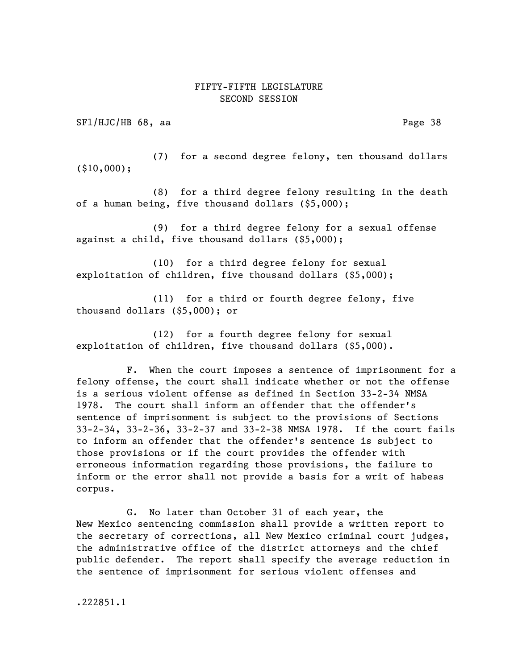SF1/HJC/HB 68, aa Page 38

(7) for a second degree felony, ten thousand dollars (\$10,000);

(8) for a third degree felony resulting in the death of a human being, five thousand dollars (\$5,000);

(9) for a third degree felony for a sexual offense against a child, five thousand dollars (\$5,000);

(10) for a third degree felony for sexual exploitation of children, five thousand dollars (\$5,000);

(11) for a third or fourth degree felony, five thousand dollars (\$5,000); or

(12) for a fourth degree felony for sexual exploitation of children, five thousand dollars (\$5,000).

F. When the court imposes a sentence of imprisonment for a felony offense, the court shall indicate whether or not the offense is a serious violent offense as defined in Section 33-2-34 NMSA 1978. The court shall inform an offender that the offender's sentence of imprisonment is subject to the provisions of Sections 33-2-34, 33-2-36, 33-2-37 and 33-2-38 NMSA 1978. If the court fails to inform an offender that the offender's sentence is subject to those provisions or if the court provides the offender with erroneous information regarding those provisions, the failure to inform or the error shall not provide a basis for a writ of habeas corpus.

G. No later than October 31 of each year, the New Mexico sentencing commission shall provide a written report to the secretary of corrections, all New Mexico criminal court judges, the administrative office of the district attorneys and the chief public defender. The report shall specify the average reduction in the sentence of imprisonment for serious violent offenses and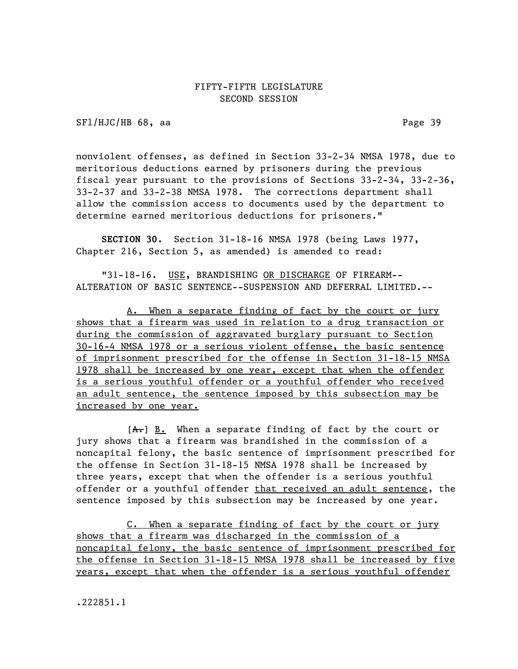SFl/HJC/HB 68, aa Page 39

nonviolent offenses, as defined in Section 33-2-34 NMSA 1978, due to meritorious deductions earned by prisoners during the previous fiscal year pursuant to the provisions of Sections 33-2-34, 33-2-36, 33-2-37 and 33-2-38 NMSA 1978. The corrections department shall allow the commission access to documents used by the department to determine earned meritorious deductions for prisoners."

SECTION 30. Section 31-18-16 NMSA 1978 (being Laws 1977, Chapter 216, Section 5, as amended) is amended to read:

"31-18-16. USE, BRANDISHING OR DISCHARGE OF FIREARM-- ALTERATION OF BASIC SENTENCE--SUSPENSION AND DEFERRAL LIMITED.--

A. When a separate finding of fact by the court or jury shows that a firearm was used in relation to a drug transaction or during the commission of aggravated burglary pursuant to Section 30-16-4 NMSA 1978 or a serious violent offense, the basic sentence of imprisonment prescribed for the offense in Section 31-18-15 NMSA 1978 shall be increased by one year, except that when the offender is a serious youthful offender or a youthful offender who received an adult sentence, the sentence imposed by this subsection may be increased by one year.

 $[A<sub>1</sub>]$  B. When a separate finding of fact by the court or jury shows that a firearm was brandished in the commission of a noncapital felony, the basic sentence of imprisonment prescribed for the offense in Section 31-18-15 NMSA 1978 shall be increased by three years, except that when the offender is a serious youthful offender or a youthful offender that received an adult sentence, the sentence imposed by this subsection may be increased by one year.

C. When a separate finding of fact by the court or jury shows that a firearm was discharged in the commission of a noncapital felony, the basic sentence of imprisonment prescribed for the offense in Section 31-18-15 NMSA 1978 shall be increased by five years, except that when the offender is a serious youthful offender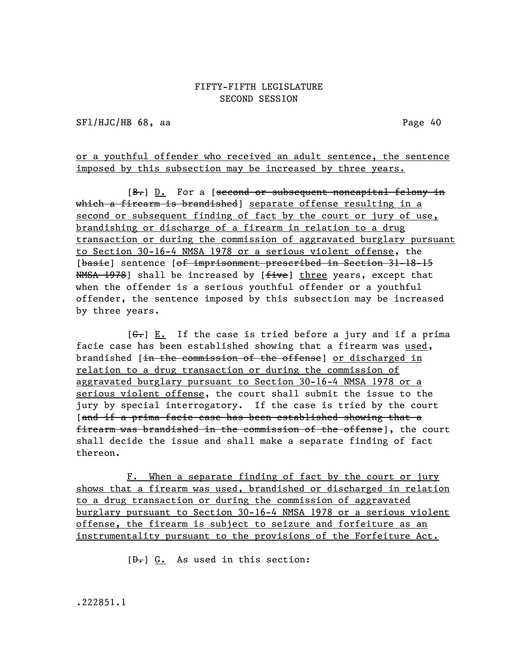SFl/HJC/HB 68, aa Page 40

or a youthful offender who received an adult sentence, the sentence imposed by this subsection may be increased by three years.

[B.] D. For a [second or subsequent noncapital felony in which a firearm is brandished] separate offense resulting in a second or subsequent finding of fact by the court or jury of use, brandishing or discharge of a firearm in relation to a drug transaction or during the commission of aggravated burglary pursuant to Section 30-16-4 NMSA 1978 or a serious violent offense, the [basie] sentence [of imprisonment prescribed in Section 31-18-15 NMSA 1978] shall be increased by [five] three years, except that when the offender is a serious youthful offender or a youthful offender, the sentence imposed by this subsection may be increased by three years.

 $[G<sub>z</sub>]$  E. If the case is tried before a jury and if a prima facie case has been established showing that a firearm was used, brandished [in the commission of the offense] or discharged in relation to a drug transaction or during the commission of aggravated burglary pursuant to Section 30-16-4 NMSA 1978 or a serious violent offense, the court shall submit the issue to the jury by special interrogatory. If the case is tried by the court [and if a prima facie case has been established showing that a firearm was brandished in the commission of the offense], the court shall decide the issue and shall make a separate finding of fact thereon.

F. When a separate finding of fact by the court or jury shows that a firearm was used, brandished or discharged in relation to a drug transaction or during the commission of aggravated burglary pursuant to Section 30-16-4 NMSA 1978 or a serious violent offense, the firearm is subject to seizure and forfeiture as an instrumentality pursuant to the provisions of the Forfeiture Act.

 $[\theta_{\bullet}]$  G. As used in this section: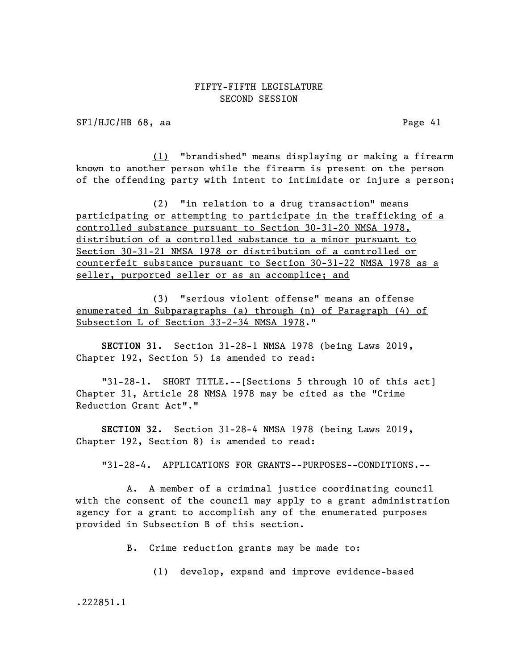SFl/HJC/HB 68, aa Page 41

(1) "brandished" means displaying or making a firearm known to another person while the firearm is present on the person of the offending party with intent to intimidate or injure a person;

(2) "in relation to a drug transaction" means participating or attempting to participate in the trafficking of a controlled substance pursuant to Section 30-31-20 NMSA 1978, distribution of a controlled substance to a minor pursuant to Section 30-31-21 NMSA 1978 or distribution of a controlled or counterfeit substance pursuant to Section 30-31-22 NMSA 1978 as a seller, purported seller or as an accomplice; and

(3) "serious violent offense" means an offense enumerated in Subparagraphs (a) through (n) of Paragraph (4) of Subsection L of Section 33-2-34 NMSA 1978."

SECTION 31. Section 31-28-1 NMSA 1978 (being Laws 2019, Chapter 192, Section 5) is amended to read:

"31-28-1. SHORT TITLE.--[<del>Sections 5 through 10 of this act</del>] Chapter 31, Article 28 NMSA 1978 may be cited as the "Crime Reduction Grant Act"."

SECTION 32. Section 31-28-4 NMSA 1978 (being Laws 2019, Chapter 192, Section 8) is amended to read:

"31-28-4. APPLICATIONS FOR GRANTS--PURPOSES--CONDITIONS.--

A. A member of a criminal justice coordinating council with the consent of the council may apply to a grant administration agency for a grant to accomplish any of the enumerated purposes provided in Subsection B of this section.

B. Crime reduction grants may be made to:

(1) develop, expand and improve evidence-based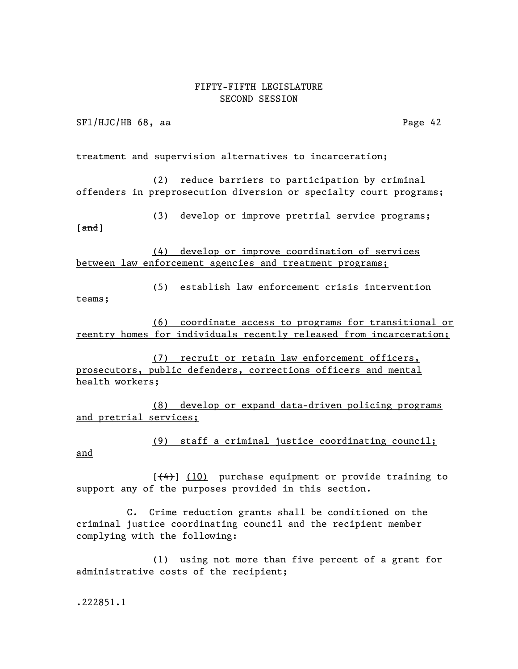SFl/HJC/HB 68, aa Page 42

treatment and supervision alternatives to incarceration;

(2) reduce barriers to participation by criminal offenders in preprosecution diversion or specialty court programs;

(3) develop or improve pretrial service programs;

 $\lceil$  and  $\rceil$ 

(4) develop or improve coordination of services between law enforcement agencies and treatment programs;

(5) establish law enforcement crisis intervention teams;

(6) coordinate access to programs for transitional or reentry homes for individuals recently released from incarceration;

(7) recruit or retain law enforcement officers, prosecutors, public defenders, corrections officers and mental health workers;

(8) develop or expand data-driven policing programs and pretrial services;

(9) staff a criminal justice coordinating council;

and

 $[$   $(4)$ ]  $(10)$  purchase equipment or provide training to support any of the purposes provided in this section.

C. Crime reduction grants shall be conditioned on the criminal justice coordinating council and the recipient member complying with the following:

(1) using not more than five percent of a grant for administrative costs of the recipient;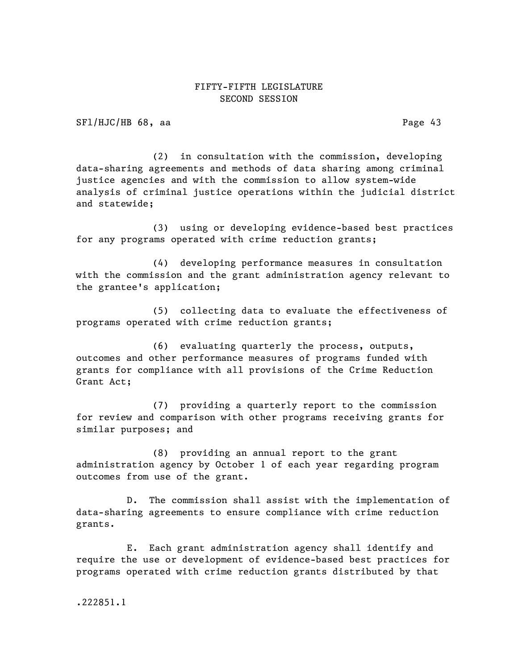SFl/HJC/HB 68, aa Page 43

(2) in consultation with the commission, developing data-sharing agreements and methods of data sharing among criminal justice agencies and with the commission to allow system-wide analysis of criminal justice operations within the judicial district and statewide;

(3) using or developing evidence-based best practices for any programs operated with crime reduction grants;

(4) developing performance measures in consultation with the commission and the grant administration agency relevant to the grantee's application;

(5) collecting data to evaluate the effectiveness of programs operated with crime reduction grants;

(6) evaluating quarterly the process, outputs, outcomes and other performance measures of programs funded with grants for compliance with all provisions of the Crime Reduction Grant Act;

(7) providing a quarterly report to the commission for review and comparison with other programs receiving grants for similar purposes; and

(8) providing an annual report to the grant administration agency by October 1 of each year regarding program outcomes from use of the grant.

D. The commission shall assist with the implementation of data-sharing agreements to ensure compliance with crime reduction grants.

E. Each grant administration agency shall identify and require the use or development of evidence-based best practices for programs operated with crime reduction grants distributed by that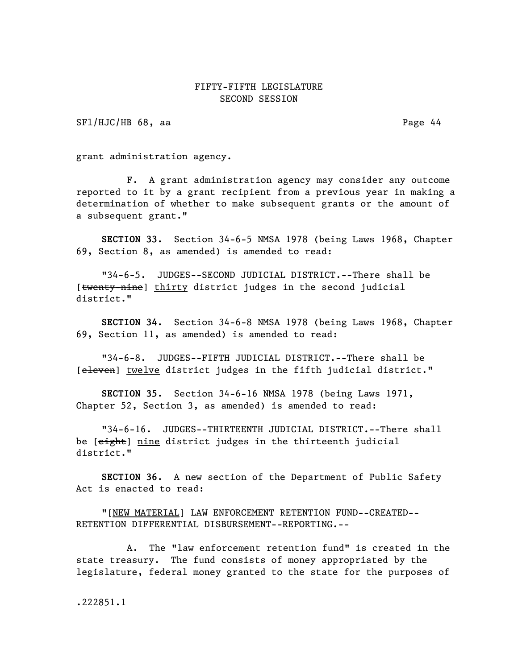SFl/HJC/HB 68, aa Page 44

grant administration agency.

F. A grant administration agency may consider any outcome reported to it by a grant recipient from a previous year in making a determination of whether to make subsequent grants or the amount of a subsequent grant."

SECTION 33. Section 34-6-5 NMSA 1978 (being Laws 1968, Chapter 69, Section 8, as amended) is amended to read:

"34-6-5. JUDGES--SECOND JUDICIAL DISTRICT.--There shall be [twenty-nine] thirty district judges in the second judicial district."

SECTION 34. Section 34-6-8 NMSA 1978 (being Laws 1968, Chapter 69, Section 11, as amended) is amended to read:

"34-6-8. JUDGES--FIFTH JUDICIAL DISTRICT.--There shall be [eleven] twelve district judges in the fifth judicial district."

SECTION 35. Section 34-6-16 NMSA 1978 (being Laws 1971, Chapter 52, Section 3, as amended) is amended to read:

"34-6-16. JUDGES--THIRTEENTH JUDICIAL DISTRICT.--There shall be [eight] nine district judges in the thirteenth judicial district."

SECTION 36. A new section of the Department of Public Safety Act is enacted to read:

"[NEW MATERIAL] LAW ENFORCEMENT RETENTION FUND--CREATED-- RETENTION DIFFERENTIAL DISBURSEMENT--REPORTING.--

A. The "law enforcement retention fund" is created in the state treasury. The fund consists of money appropriated by the legislature, federal money granted to the state for the purposes of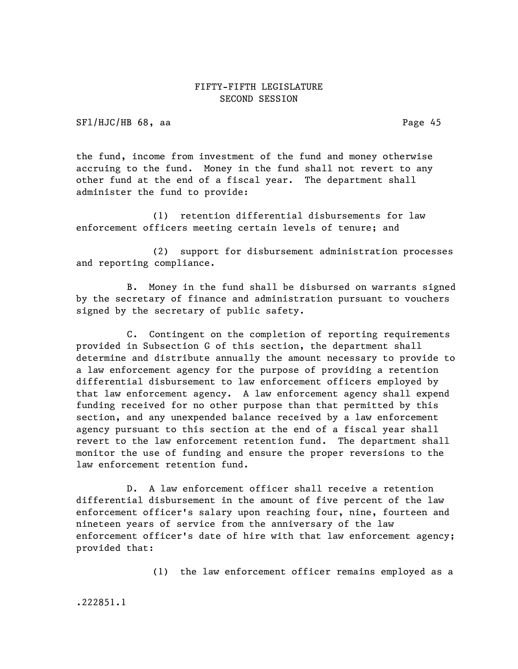SFl/HJC/HB 68, aa Page 45

the fund, income from investment of the fund and money otherwise accruing to the fund. Money in the fund shall not revert to any other fund at the end of a fiscal year. The department shall administer the fund to provide:

(1) retention differential disbursements for law enforcement officers meeting certain levels of tenure; and

(2) support for disbursement administration processes and reporting compliance.

B. Money in the fund shall be disbursed on warrants signed by the secretary of finance and administration pursuant to vouchers signed by the secretary of public safety.

C. Contingent on the completion of reporting requirements provided in Subsection G of this section, the department shall determine and distribute annually the amount necessary to provide to a law enforcement agency for the purpose of providing a retention differential disbursement to law enforcement officers employed by that law enforcement agency. A law enforcement agency shall expend funding received for no other purpose than that permitted by this section, and any unexpended balance received by a law enforcement agency pursuant to this section at the end of a fiscal year shall revert to the law enforcement retention fund. The department shall monitor the use of funding and ensure the proper reversions to the law enforcement retention fund.

D. A law enforcement officer shall receive a retention differential disbursement in the amount of five percent of the law enforcement officer's salary upon reaching four, nine, fourteen and nineteen years of service from the anniversary of the law enforcement officer's date of hire with that law enforcement agency; provided that:

(1) the law enforcement officer remains employed as a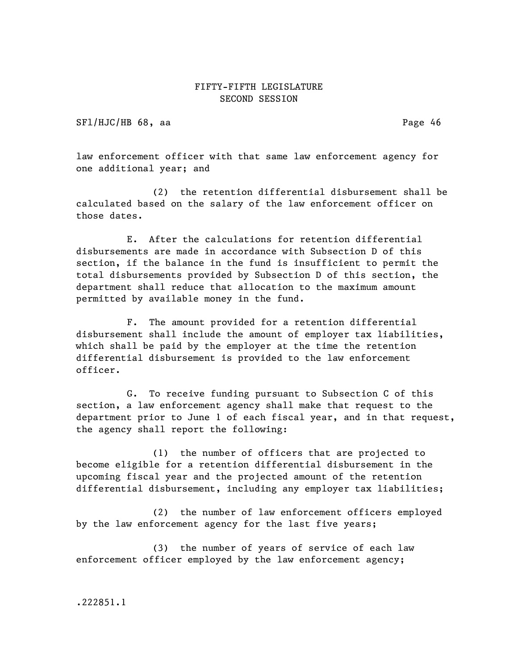SFl/HJC/HB 68, aa Page 46

law enforcement officer with that same law enforcement agency for one additional year; and

(2) the retention differential disbursement shall be calculated based on the salary of the law enforcement officer on those dates.

E. After the calculations for retention differential disbursements are made in accordance with Subsection D of this section, if the balance in the fund is insufficient to permit the total disbursements provided by Subsection D of this section, the department shall reduce that allocation to the maximum amount permitted by available money in the fund.

F. The amount provided for a retention differential disbursement shall include the amount of employer tax liabilities, which shall be paid by the employer at the time the retention differential disbursement is provided to the law enforcement officer.

G. To receive funding pursuant to Subsection C of this section, a law enforcement agency shall make that request to the department prior to June 1 of each fiscal year, and in that request, the agency shall report the following:

(1) the number of officers that are projected to become eligible for a retention differential disbursement in the upcoming fiscal year and the projected amount of the retention differential disbursement, including any employer tax liabilities;

(2) the number of law enforcement officers employed by the law enforcement agency for the last five years;

(3) the number of years of service of each law enforcement officer employed by the law enforcement agency;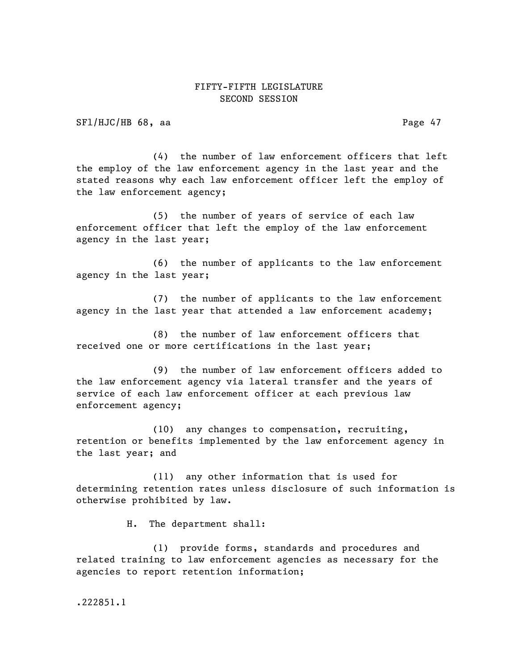SFl/HJC/HB 68, aa Page 47

(4) the number of law enforcement officers that left the employ of the law enforcement agency in the last year and the stated reasons why each law enforcement officer left the employ of the law enforcement agency;

(5) the number of years of service of each law enforcement officer that left the employ of the law enforcement agency in the last year;

(6) the number of applicants to the law enforcement agency in the last year;

(7) the number of applicants to the law enforcement agency in the last year that attended a law enforcement academy;

(8) the number of law enforcement officers that received one or more certifications in the last year;

(9) the number of law enforcement officers added to the law enforcement agency via lateral transfer and the years of service of each law enforcement officer at each previous law enforcement agency;

(10) any changes to compensation, recruiting, retention or benefits implemented by the law enforcement agency in the last year; and

(11) any other information that is used for determining retention rates unless disclosure of such information is otherwise prohibited by law.

H. The department shall:

(1) provide forms, standards and procedures and related training to law enforcement agencies as necessary for the agencies to report retention information;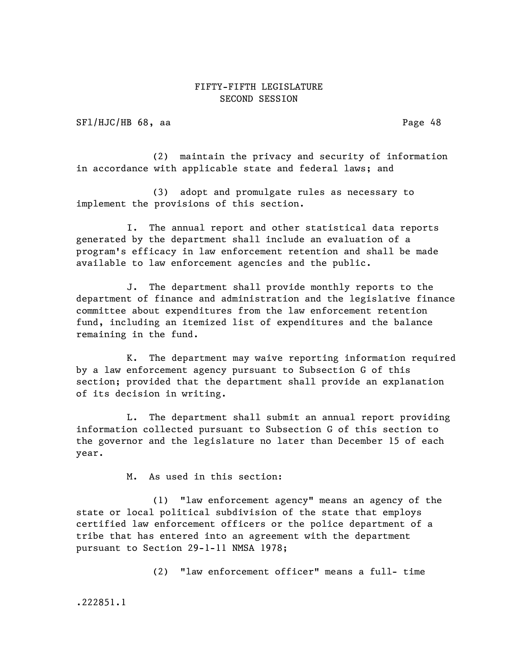SFl/HJC/HB 68, aa Page 48

(2) maintain the privacy and security of information in accordance with applicable state and federal laws; and

(3) adopt and promulgate rules as necessary to implement the provisions of this section.

I. The annual report and other statistical data reports generated by the department shall include an evaluation of a program's efficacy in law enforcement retention and shall be made available to law enforcement agencies and the public.

J. The department shall provide monthly reports to the department of finance and administration and the legislative finance committee about expenditures from the law enforcement retention fund, including an itemized list of expenditures and the balance remaining in the fund.

K. The department may waive reporting information required by a law enforcement agency pursuant to Subsection G of this section; provided that the department shall provide an explanation of its decision in writing.

L. The department shall submit an annual report providing information collected pursuant to Subsection G of this section to the governor and the legislature no later than December 15 of each year.

M. As used in this section:

(1) "law enforcement agency" means an agency of the state or local political subdivision of the state that employs certified law enforcement officers or the police department of a tribe that has entered into an agreement with the department pursuant to Section 29-1-11 NMSA 1978;

(2) "law enforcement officer" means a full- time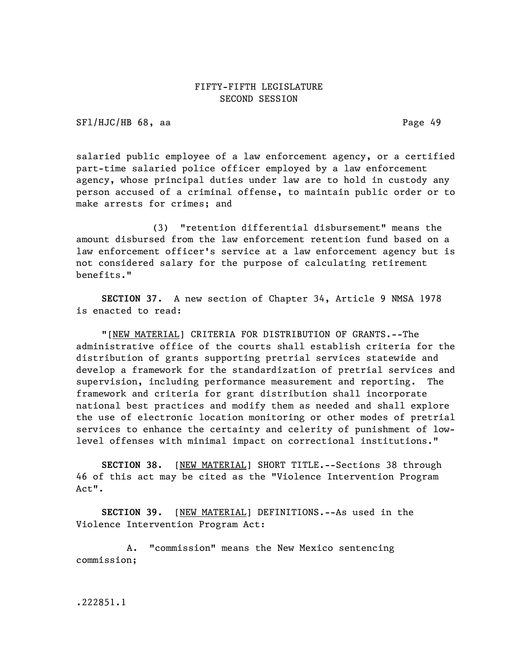SFl/HJC/HB 68, aa Page 49

salaried public employee of a law enforcement agency, or a certified part-time salaried police officer employed by a law enforcement agency, whose principal duties under law are to hold in custody any person accused of a criminal offense, to maintain public order or to make arrests for crimes; and

(3) "retention differential disbursement" means the amount disbursed from the law enforcement retention fund based on a law enforcement officer's service at a law enforcement agency but is not considered salary for the purpose of calculating retirement benefits."

SECTION 37. A new section of Chapter 34, Article 9 NMSA 1978 is enacted to read:

"[NEW MATERIAL] CRITERIA FOR DISTRIBUTION OF GRANTS.--The administrative office of the courts shall establish criteria for the distribution of grants supporting pretrial services statewide and develop a framework for the standardization of pretrial services and supervision, including performance measurement and reporting. The framework and criteria for grant distribution shall incorporate national best practices and modify them as needed and shall explore the use of electronic location monitoring or other modes of pretrial services to enhance the certainty and celerity of punishment of lowlevel offenses with minimal impact on correctional institutions."

SECTION 38. [NEW MATERIAL] SHORT TITLE.--Sections 38 through 46 of this act may be cited as the "Violence Intervention Program Act".

SECTION 39. [NEW MATERIAL] DEFINITIONS.--As used in the Violence Intervention Program Act:

A. "commission" means the New Mexico sentencing commission;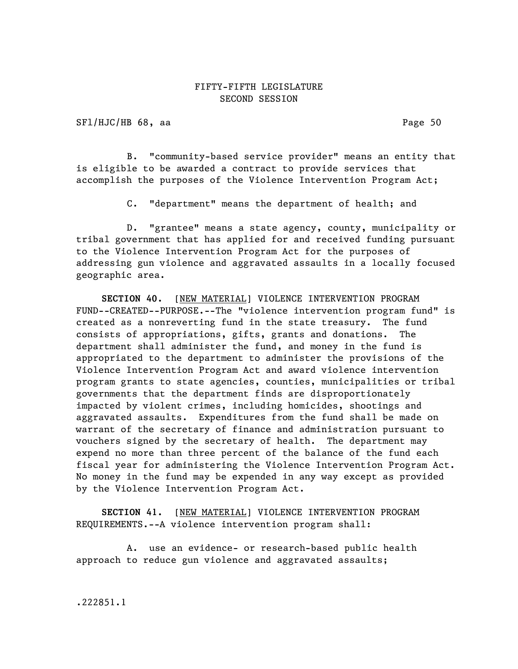SFl/HJC/HB 68, aa Page 50

B. "community-based service provider" means an entity that is eligible to be awarded a contract to provide services that accomplish the purposes of the Violence Intervention Program Act;

C. "department" means the department of health; and

D. "grantee" means a state agency, county, municipality or tribal government that has applied for and received funding pursuant to the Violence Intervention Program Act for the purposes of addressing gun violence and aggravated assaults in a locally focused geographic area.

SECTION 40. [NEW MATERIAL] VIOLENCE INTERVENTION PROGRAM FUND--CREATED--PURPOSE.--The "violence intervention program fund" is created as a nonreverting fund in the state treasury. The fund consists of appropriations, gifts, grants and donations. The department shall administer the fund, and money in the fund is appropriated to the department to administer the provisions of the Violence Intervention Program Act and award violence intervention program grants to state agencies, counties, municipalities or tribal governments that the department finds are disproportionately impacted by violent crimes, including homicides, shootings and aggravated assaults. Expenditures from the fund shall be made on warrant of the secretary of finance and administration pursuant to vouchers signed by the secretary of health. The department may expend no more than three percent of the balance of the fund each fiscal year for administering the Violence Intervention Program Act. No money in the fund may be expended in any way except as provided by the Violence Intervention Program Act.

SECTION 41. [NEW MATERIAL] VIOLENCE INTERVENTION PROGRAM REQUIREMENTS.--A violence intervention program shall:

A. use an evidence- or research-based public health approach to reduce gun violence and aggravated assaults;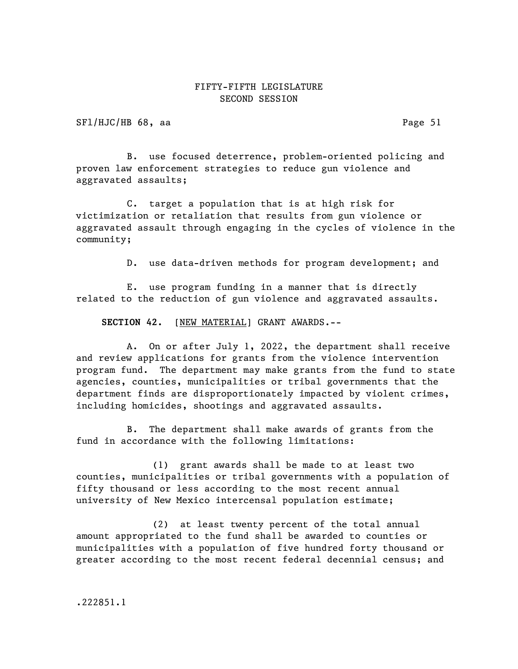SFl/HJC/HB 68, aa Page 51

B. use focused deterrence, problem-oriented policing and proven law enforcement strategies to reduce gun violence and aggravated assaults;

C. target a population that is at high risk for victimization or retaliation that results from gun violence or aggravated assault through engaging in the cycles of violence in the community;

D. use data-driven methods for program development; and

E. use program funding in a manner that is directly related to the reduction of gun violence and aggravated assaults.

SECTION 42. [NEW MATERIAL] GRANT AWARDS.--

A. On or after July 1, 2022, the department shall receive and review applications for grants from the violence intervention program fund. The department may make grants from the fund to state agencies, counties, municipalities or tribal governments that the department finds are disproportionately impacted by violent crimes, including homicides, shootings and aggravated assaults.

B. The department shall make awards of grants from the fund in accordance with the following limitations:

(1) grant awards shall be made to at least two counties, municipalities or tribal governments with a population of fifty thousand or less according to the most recent annual university of New Mexico intercensal population estimate;

(2) at least twenty percent of the total annual amount appropriated to the fund shall be awarded to counties or municipalities with a population of five hundred forty thousand or greater according to the most recent federal decennial census; and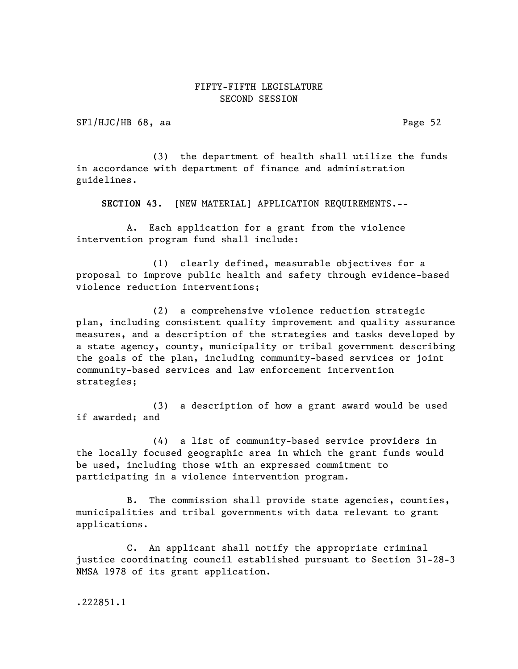SFl/HJC/HB 68, aa Page 52

(3) the department of health shall utilize the funds in accordance with department of finance and administration guidelines.

SECTION 43. [NEW MATERIAL] APPLICATION REQUIREMENTS.--

A. Each application for a grant from the violence intervention program fund shall include:

(1) clearly defined, measurable objectives for a proposal to improve public health and safety through evidence-based violence reduction interventions;

(2) a comprehensive violence reduction strategic plan, including consistent quality improvement and quality assurance measures, and a description of the strategies and tasks developed by a state agency, county, municipality or tribal government describing the goals of the plan, including community-based services or joint community-based services and law enforcement intervention strategies;

(3) a description of how a grant award would be used if awarded; and

(4) a list of community-based service providers in the locally focused geographic area in which the grant funds would be used, including those with an expressed commitment to participating in a violence intervention program.

B. The commission shall provide state agencies, counties, municipalities and tribal governments with data relevant to grant applications.

C. An applicant shall notify the appropriate criminal justice coordinating council established pursuant to Section 31-28-3 NMSA 1978 of its grant application.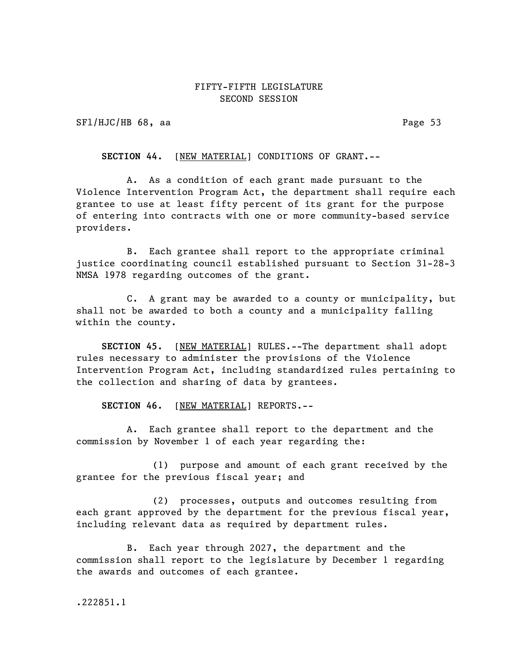SFl/HJC/HB 68, aa Page 53

SECTION 44. [NEW MATERIAL] CONDITIONS OF GRANT.--

A. As a condition of each grant made pursuant to the Violence Intervention Program Act, the department shall require each grantee to use at least fifty percent of its grant for the purpose of entering into contracts with one or more community-based service providers.

B. Each grantee shall report to the appropriate criminal justice coordinating council established pursuant to Section 31-28-3 NMSA 1978 regarding outcomes of the grant.

C. A grant may be awarded to a county or municipality, but shall not be awarded to both a county and a municipality falling within the county.

SECTION 45. [NEW MATERIAL] RULES.--The department shall adopt rules necessary to administer the provisions of the Violence Intervention Program Act, including standardized rules pertaining to the collection and sharing of data by grantees.

SECTION 46. [NEW MATERIAL] REPORTS.--

A. Each grantee shall report to the department and the commission by November 1 of each year regarding the:

(1) purpose and amount of each grant received by the grantee for the previous fiscal year; and

(2) processes, outputs and outcomes resulting from each grant approved by the department for the previous fiscal year, including relevant data as required by department rules.

B. Each year through 2027, the department and the commission shall report to the legislature by December 1 regarding the awards and outcomes of each grantee.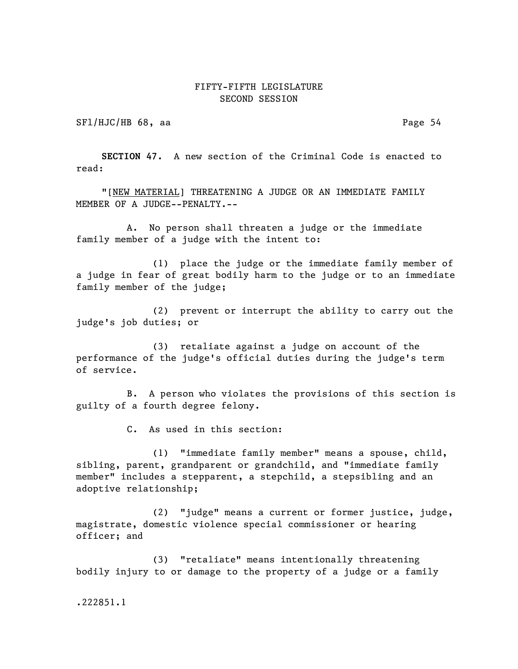SFl/HJC/HB 68, aa Page 54

SECTION 47. A new section of the Criminal Code is enacted to read:

"[NEW MATERIAL] THREATENING A JUDGE OR AN IMMEDIATE FAMILY MEMBER OF A JUDGE--PENALTY.--

A. No person shall threaten a judge or the immediate family member of a judge with the intent to:

(1) place the judge or the immediate family member of a judge in fear of great bodily harm to the judge or to an immediate family member of the judge;

(2) prevent or interrupt the ability to carry out the judge's job duties; or

(3) retaliate against a judge on account of the performance of the judge's official duties during the judge's term of service.

B. A person who violates the provisions of this section is guilty of a fourth degree felony.

C. As used in this section:

(1) "immediate family member" means a spouse, child, sibling, parent, grandparent or grandchild, and "immediate family member" includes a stepparent, a stepchild, a stepsibling and an adoptive relationship;

(2) "judge" means a current or former justice, judge, magistrate, domestic violence special commissioner or hearing officer; and

(3) "retaliate" means intentionally threatening bodily injury to or damage to the property of a judge or a family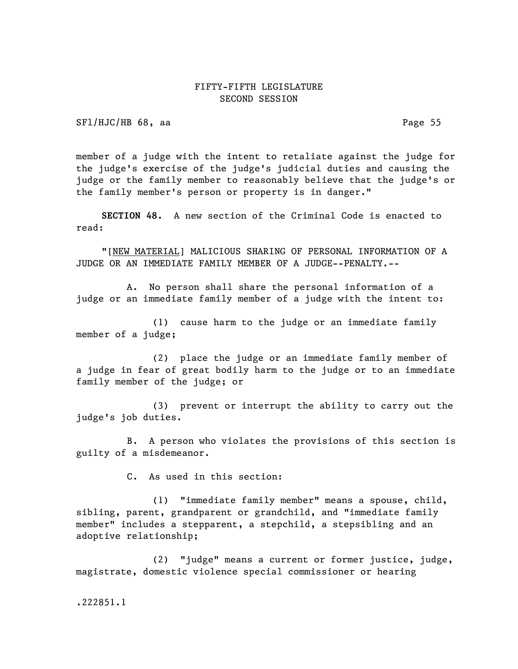SFl/HJC/HB 68, aa Page 55

member of a judge with the intent to retaliate against the judge for the judge's exercise of the judge's judicial duties and causing the judge or the family member to reasonably believe that the judge's or the family member's person or property is in danger."

SECTION 48. A new section of the Criminal Code is enacted to read:

"[NEW MATERIAL] MALICIOUS SHARING OF PERSONAL INFORMATION OF A JUDGE OR AN IMMEDIATE FAMILY MEMBER OF A JUDGE--PENALTY.--

A. No person shall share the personal information of a judge or an immediate family member of a judge with the intent to:

(1) cause harm to the judge or an immediate family member of a judge;

(2) place the judge or an immediate family member of a judge in fear of great bodily harm to the judge or to an immediate family member of the judge; or

(3) prevent or interrupt the ability to carry out the judge's job duties.

B. A person who violates the provisions of this section is guilty of a misdemeanor.

C. As used in this section:

(1) "immediate family member" means a spouse, child, sibling, parent, grandparent or grandchild, and "immediate family member" includes a stepparent, a stepchild, a stepsibling and an adoptive relationship;

(2) "judge" means a current or former justice, judge, magistrate, domestic violence special commissioner or hearing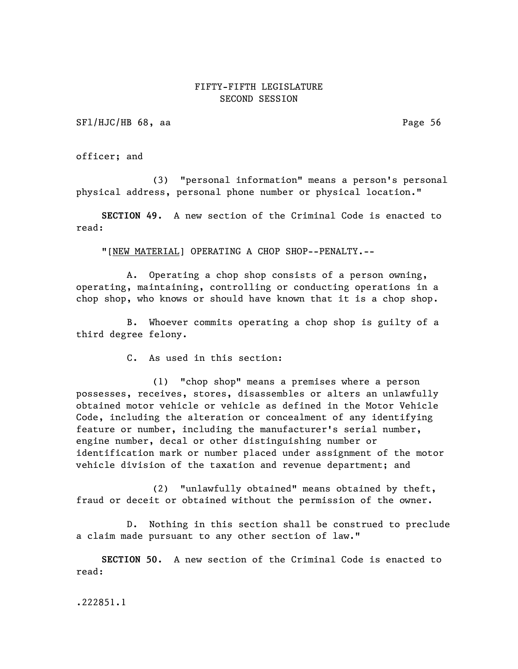SFl/HJC/HB 68, aa Page 56

officer; and

(3) "personal information" means a person's personal physical address, personal phone number or physical location."

SECTION 49. A new section of the Criminal Code is enacted to read:

"[NEW MATERIAL] OPERATING A CHOP SHOP--PENALTY.--

A. Operating a chop shop consists of a person owning, operating, maintaining, controlling or conducting operations in a chop shop, who knows or should have known that it is a chop shop.

B. Whoever commits operating a chop shop is guilty of a third degree felony.

C. As used in this section:

(1) "chop shop" means a premises where a person possesses, receives, stores, disassembles or alters an unlawfully obtained motor vehicle or vehicle as defined in the Motor Vehicle Code, including the alteration or concealment of any identifying feature or number, including the manufacturer's serial number, engine number, decal or other distinguishing number or identification mark or number placed under assignment of the motor vehicle division of the taxation and revenue department; and

(2) "unlawfully obtained" means obtained by theft, fraud or deceit or obtained without the permission of the owner.

D. Nothing in this section shall be construed to preclude a claim made pursuant to any other section of law."

SECTION 50. A new section of the Criminal Code is enacted to read: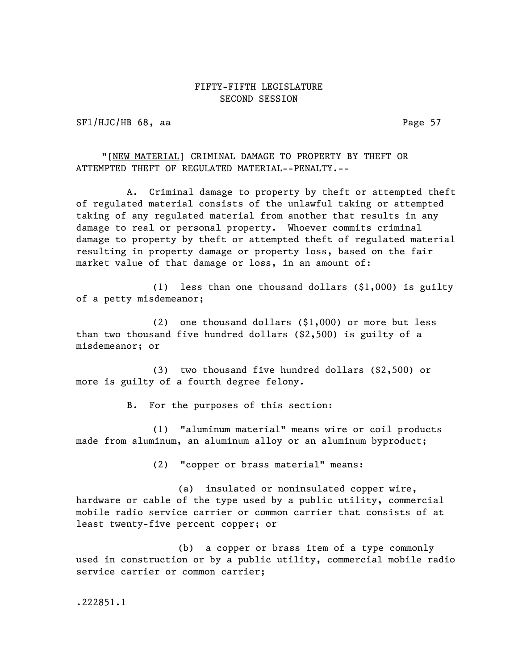SFl/HJC/HB 68, aa Page 57

"[NEW MATERIAL] CRIMINAL DAMAGE TO PROPERTY BY THEFT OR ATTEMPTED THEFT OF REGULATED MATERIAL--PENALTY.--

A. Criminal damage to property by theft or attempted theft of regulated material consists of the unlawful taking or attempted taking of any regulated material from another that results in any damage to real or personal property. Whoever commits criminal damage to property by theft or attempted theft of regulated material resulting in property damage or property loss, based on the fair market value of that damage or loss, in an amount of:

(1) less than one thousand dollars (\$1,000) is guilty of a petty misdemeanor;

(2) one thousand dollars (\$1,000) or more but less than two thousand five hundred dollars (\$2,500) is guilty of a misdemeanor; or

(3) two thousand five hundred dollars (\$2,500) or more is guilty of a fourth degree felony.

B. For the purposes of this section:

(1) "aluminum material" means wire or coil products made from aluminum, an aluminum alloy or an aluminum byproduct;

(2) "copper or brass material" means:

(a) insulated or noninsulated copper wire, hardware or cable of the type used by a public utility, commercial mobile radio service carrier or common carrier that consists of at least twenty-five percent copper; or

(b) a copper or brass item of a type commonly used in construction or by a public utility, commercial mobile radio service carrier or common carrier;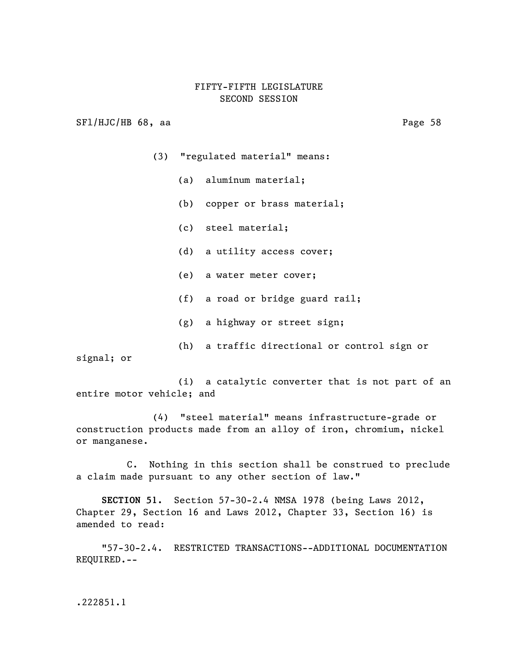SFl/HJC/HB 68, aa Page 58

- (3) "regulated material" means:
	- (a) aluminum material;
	- (b) copper or brass material;
	- (c) steel material;
	- (d) a utility access cover;
	- (e) a water meter cover;
	- (f) a road or bridge guard rail;
	- (g) a highway or street sign;
- (h) a traffic directional or control sign or signal; or

(i) a catalytic converter that is not part of an entire motor vehicle; and

(4) "steel material" means infrastructure-grade or construction products made from an alloy of iron, chromium, nickel or manganese.

C. Nothing in this section shall be construed to preclude a claim made pursuant to any other section of law."

SECTION 51. Section 57-30-2.4 NMSA 1978 (being Laws 2012, Chapter 29, Section 16 and Laws 2012, Chapter 33, Section 16) is amended to read:

"57-30-2.4. RESTRICTED TRANSACTIONS--ADDITIONAL DOCUMENTATION REQUIRED.--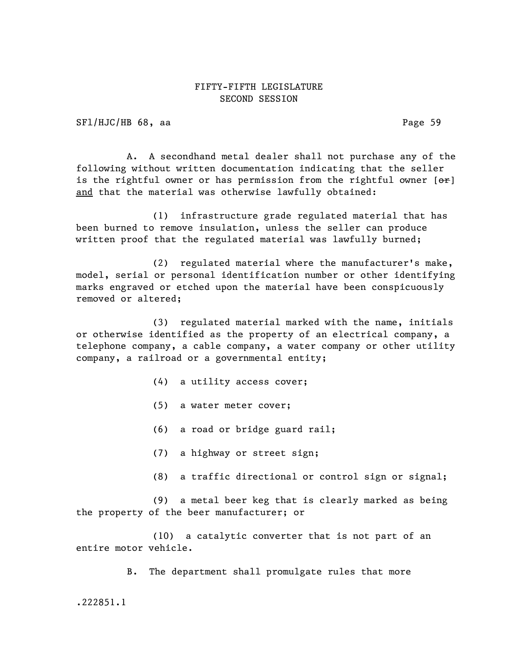SFl/HJC/HB 68, aa Page 59

A. A secondhand metal dealer shall not purchase any of the following without written documentation indicating that the seller is the rightful owner or has permission from the rightful owner  $[ $\theta$ rent$ and that the material was otherwise lawfully obtained:

(1) infrastructure grade regulated material that has been burned to remove insulation, unless the seller can produce written proof that the regulated material was lawfully burned;

(2) regulated material where the manufacturer's make, model, serial or personal identification number or other identifying marks engraved or etched upon the material have been conspicuously removed or altered;

(3) regulated material marked with the name, initials or otherwise identified as the property of an electrical company, a telephone company, a cable company, a water company or other utility company, a railroad or a governmental entity;

- (4) a utility access cover;
- (5) a water meter cover;
- (6) a road or bridge guard rail;
- (7) a highway or street sign;
- (8) a traffic directional or control sign or signal;

(9) a metal beer keg that is clearly marked as being the property of the beer manufacturer; or

(10) a catalytic converter that is not part of an entire motor vehicle.

B. The department shall promulgate rules that more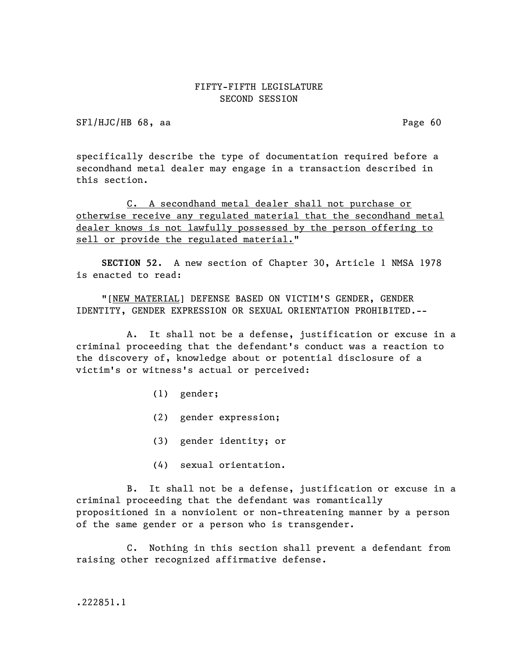SFl/HJC/HB 68, aa Page 60

specifically describe the type of documentation required before a secondhand metal dealer may engage in a transaction described in this section.

C. A secondhand metal dealer shall not purchase or otherwise receive any regulated material that the secondhand metal dealer knows is not lawfully possessed by the person offering to sell or provide the regulated material."

SECTION 52. A new section of Chapter 30, Article 1 NMSA 1978 is enacted to read:

"[NEW MATERIAL] DEFENSE BASED ON VICTIM'S GENDER, GENDER IDENTITY, GENDER EXPRESSION OR SEXUAL ORIENTATION PROHIBITED.--

A. It shall not be a defense, justification or excuse in a criminal proceeding that the defendant's conduct was a reaction to the discovery of, knowledge about or potential disclosure of a victim's or witness's actual or perceived:

- (1) gender;
- (2) gender expression;
- (3) gender identity; or
- (4) sexual orientation.

B. It shall not be a defense, justification or excuse in a criminal proceeding that the defendant was romantically propositioned in a nonviolent or non-threatening manner by a person of the same gender or a person who is transgender.

C. Nothing in this section shall prevent a defendant from raising other recognized affirmative defense.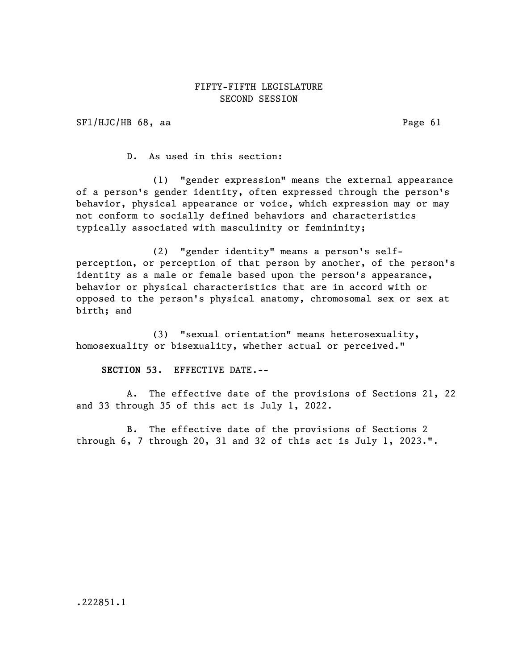SFl/HJC/HB 68, aa Page 61

D. As used in this section:

(1) "gender expression" means the external appearance of a person's gender identity, often expressed through the person's behavior, physical appearance or voice, which expression may or may not conform to socially defined behaviors and characteristics typically associated with masculinity or femininity;

(2) "gender identity" means a person's selfperception, or perception of that person by another, of the person's identity as a male or female based upon the person's appearance, behavior or physical characteristics that are in accord with or opposed to the person's physical anatomy, chromosomal sex or sex at birth; and

(3) "sexual orientation" means heterosexuality, homosexuality or bisexuality, whether actual or perceived."

SECTION 53. EFFECTIVE DATE.--

A. The effective date of the provisions of Sections 21, 22 and 33 through 35 of this act is July 1, 2022.

B. The effective date of the provisions of Sections 2 through 6, 7 through 20, 31 and 32 of this act is July 1, 2023.".